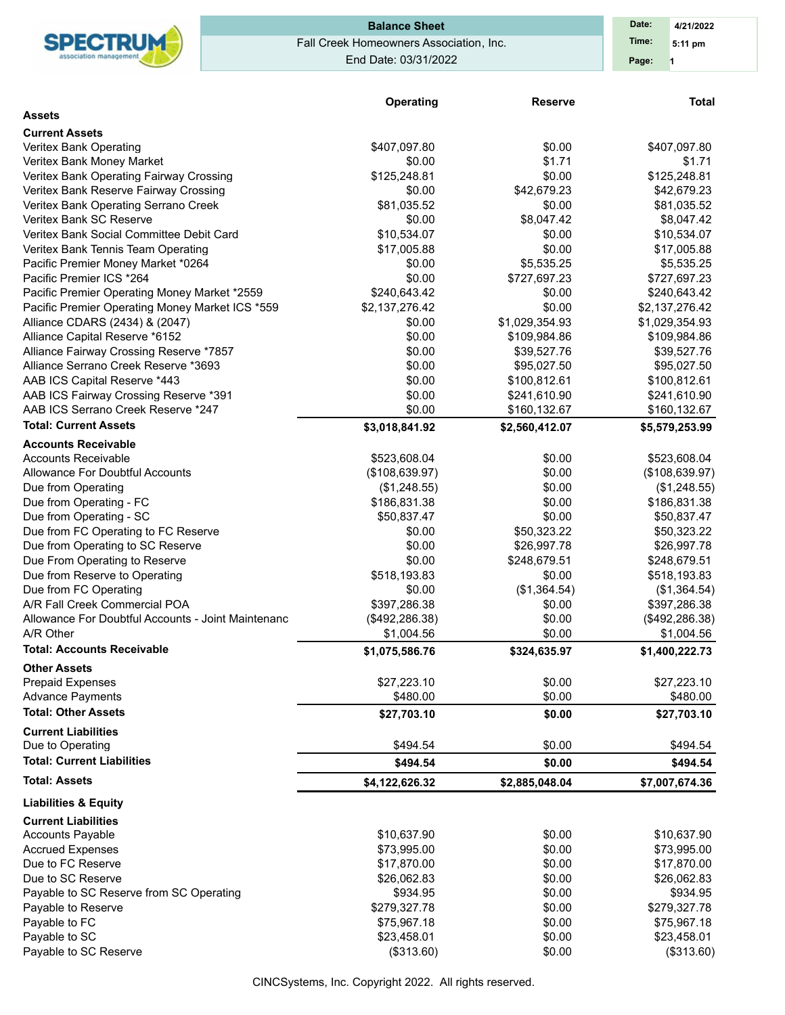

# Fall Creek Homeowners Association, Inc. End Date: 03/31/2022 **Balance Sheet Date: Date:**

|                                                    | Operating       | <b>Reserve</b> | <b>Total</b>    |
|----------------------------------------------------|-----------------|----------------|-----------------|
| <b>Assets</b>                                      |                 |                |                 |
| <b>Current Assets</b>                              |                 |                |                 |
| Veritex Bank Operating                             | \$407,097.80    | \$0.00         | \$407,097.80    |
| Veritex Bank Money Market                          | \$0.00          | \$1.71         | \$1.71          |
| Veritex Bank Operating Fairway Crossing            | \$125,248.81    | \$0.00         | \$125,248.81    |
| Veritex Bank Reserve Fairway Crossing              | \$0.00          | \$42,679.23    | \$42,679.23     |
| Veritex Bank Operating Serrano Creek               | \$81,035.52     | \$0.00         | \$81,035.52     |
| Veritex Bank SC Reserve                            | \$0.00          | \$8,047.42     | \$8,047.42      |
| Veritex Bank Social Committee Debit Card           | \$10,534.07     | \$0.00         | \$10,534.07     |
| Veritex Bank Tennis Team Operating                 | \$17,005.88     | \$0.00         | \$17,005.88     |
| Pacific Premier Money Market *0264                 | \$0.00          | \$5,535.25     | \$5,535.25      |
| Pacific Premier ICS *264                           | \$0.00          | \$727,697.23   | \$727,697.23    |
| Pacific Premier Operating Money Market *2559       | \$240,643.42    | \$0.00         | \$240,643.42    |
| Pacific Premier Operating Money Market ICS *559    | \$2,137,276.42  | \$0.00         | \$2,137,276.42  |
| Alliance CDARS (2434) & (2047)                     | \$0.00          | \$1,029,354.93 | \$1,029,354.93  |
| Alliance Capital Reserve *6152                     | \$0.00          | \$109,984.86   | \$109,984.86    |
| Alliance Fairway Crossing Reserve *7857            | \$0.00          | \$39,527.76    | \$39,527.76     |
| Alliance Serrano Creek Reserve *3693               | \$0.00          | \$95,027.50    | \$95,027.50     |
| AAB ICS Capital Reserve *443                       | \$0.00          | \$100,812.61   | \$100,812.61    |
| AAB ICS Fairway Crossing Reserve *391              | \$0.00          | \$241,610.90   | \$241,610.90    |
| AAB ICS Serrano Creek Reserve *247                 | \$0.00          | \$160,132.67   | \$160,132.67    |
| <b>Total: Current Assets</b>                       | \$3,018,841.92  | \$2,560,412.07 | \$5,579,253.99  |
| <b>Accounts Receivable</b>                         |                 |                |                 |
| Accounts Receivable                                | \$523,608.04    | \$0.00         | \$523,608.04    |
| Allowance For Doubtful Accounts                    | (\$108,639.97)  | \$0.00         | (\$108,639.97)  |
| Due from Operating                                 | (\$1,248.55)    | \$0.00         | (\$1,248.55)    |
| Due from Operating - FC                            | \$186,831.38    | \$0.00         | \$186,831.38    |
| Due from Operating - SC                            | \$50,837.47     | \$0.00         | \$50,837.47     |
| Due from FC Operating to FC Reserve                | \$0.00          | \$50,323.22    | \$50,323.22     |
| Due from Operating to SC Reserve                   | \$0.00          | \$26,997.78    | \$26,997.78     |
| Due From Operating to Reserve                      | \$0.00          | \$248,679.51   | \$248,679.51    |
| Due from Reserve to Operating                      | \$518,193.83    | \$0.00         | \$518,193.83    |
| Due from FC Operating                              | \$0.00          | (\$1,364.54)   | (\$1,364.54)    |
| A/R Fall Creek Commercial POA                      | \$397,286.38    | \$0.00         | \$397,286.38    |
| Allowance For Doubtful Accounts - Joint Maintenanc | (\$492, 286.38) | \$0.00         | (\$492, 286.38) |
| A/R Other                                          | \$1,004.56      | \$0.00         | \$1,004.56      |
| <b>Total: Accounts Receivable</b>                  | \$1,075,586.76  | \$324,635.97   | \$1,400,222.73  |
| <b>Other Assets</b>                                |                 |                |                 |
| <b>Prepaid Expenses</b>                            | \$27,223.10     | \$0.00         | \$27,223.10     |
| <b>Advance Payments</b>                            | \$480.00        | \$0.00         | \$480.00        |
| <b>Total: Other Assets</b>                         | \$27,703.10     | \$0.00         | \$27,703.10     |
| <b>Current Liabilities</b>                         |                 |                |                 |
| Due to Operating                                   | \$494.54        | \$0.00         | \$494.54        |
| <b>Total: Current Liabilities</b>                  | \$494.54        | \$0.00         | \$494.54        |
| <b>Total: Assets</b>                               | \$4,122,626.32  | \$2,885,048.04 | \$7,007,674.36  |
| <b>Liabilities &amp; Equity</b>                    |                 |                |                 |
| <b>Current Liabilities</b>                         |                 |                |                 |
| <b>Accounts Payable</b>                            | \$10,637.90     | \$0.00         | \$10,637.90     |
| <b>Accrued Expenses</b>                            | \$73,995.00     | \$0.00         | \$73,995.00     |
| Due to FC Reserve                                  | \$17,870.00     | \$0.00         | \$17,870.00     |
| Due to SC Reserve                                  | \$26,062.83     | \$0.00         | \$26,062.83     |
| Payable to SC Reserve from SC Operating            | \$934.95        | \$0.00         | \$934.95        |
| Payable to Reserve                                 | \$279,327.78    | \$0.00         | \$279,327.78    |
| Payable to FC                                      | \$75,967.18     | \$0.00         | \$75,967.18     |
| Payable to SC                                      | \$23,458.01     | \$0.00         | \$23,458.01     |
| Payable to SC Reserve                              | (\$313.60)      | \$0.00         | (\$313.60)      |

CINCSystems, Inc. Copyright 2022. All rights reserved.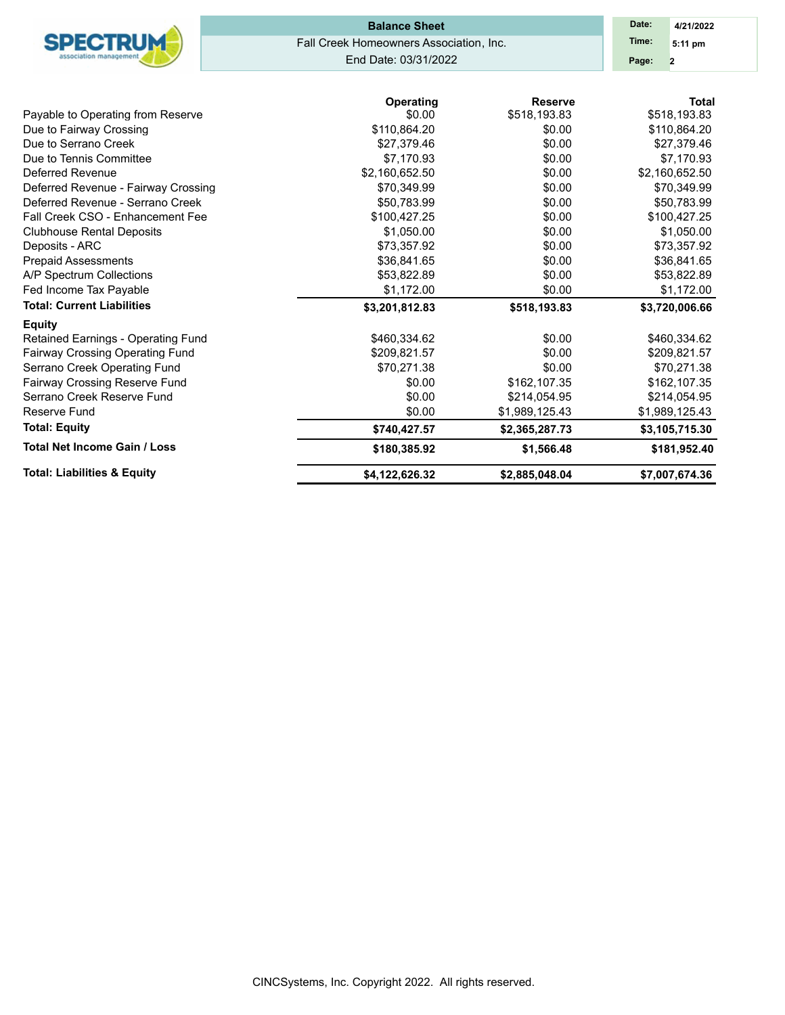| <b>Total Net Income Gain / Loss</b>                 | \$180,385.92                            | \$1,566.48                     | \$181,952.40                 |
|-----------------------------------------------------|-----------------------------------------|--------------------------------|------------------------------|
| <b>Total: Equity</b>                                | \$740,427.57                            | \$2,365,287.73                 | \$3,105,715.30               |
| Reserve Fund                                        | \$0.00                                  | \$1,989,125.43                 | \$1,989,125.43               |
| Serrano Creek Reserve Fund                          | \$0.00                                  | \$214,054.95                   | \$214,054.95                 |
| Fairway Crossing Reserve Fund                       | \$0.00                                  | \$162,107.35                   | \$162,107.35                 |
| Serrano Creek Operating Fund                        | \$70,271.38                             | \$0.00                         | \$70,271.38                  |
| Fairway Crossing Operating Fund                     | \$209,821.57                            | \$0.00                         | \$209,821.57                 |
| <b>Equity</b><br>Retained Earnings - Operating Fund | \$460,334.62                            | \$0.00                         | \$460,334.62                 |
| <b>Total: Current Liabilities</b>                   | \$3,201,812.83                          | \$518,193.83                   | \$3,720,006.66               |
| Fed Income Tax Payable                              | \$1,172.00                              | \$0.00                         | \$1,172.00                   |
| A/P Spectrum Collections                            | \$53,822.89                             | \$0.00                         | \$53,822.89                  |
| <b>Prepaid Assessments</b>                          | \$36,841.65                             | \$0.00                         | \$36,841.65                  |
| Deposits - ARC                                      | \$73,357.92                             | \$0.00                         | \$73,357.92                  |
| <b>Clubhouse Rental Deposits</b>                    | \$1,050.00                              | \$0.00                         | \$1,050.00                   |
| Fall Creek CSO - Enhancement Fee                    | \$100,427.25                            | \$0.00                         | \$100,427.25                 |
| Deferred Revenue - Serrano Creek                    | \$50,783.99                             | \$0.00                         | \$50,783.99                  |
| Deferred Revenue - Fairway Crossing                 | \$70,349.99                             | \$0.00                         | \$70,349.99                  |
| Deferred Revenue                                    | \$2,160,652.50                          | \$0.00                         | \$2,160,652.50               |
| Due to Tennis Committee                             | \$7,170.93                              | \$0.00                         | \$7,170.93                   |
| Due to Serrano Creek                                | \$27,379.46                             | \$0.00                         | \$27,379.46                  |
| Due to Fairway Crossing                             | \$110,864.20                            | \$0.00                         | \$110,864.20                 |
| Payable to Operating from Reserve                   | Operating<br>\$0.00                     | <b>Reserve</b><br>\$518,193.83 | <b>Total</b><br>\$518,193.83 |
|                                                     | End Date: 03/31/2022                    |                                | Page:<br>$\overline{2}$      |
|                                                     |                                         |                                |                              |
| <b>SPECTRUM</b>                                     | Fall Creek Homeowners Association, Inc. |                                | Time:<br>5:11 pm             |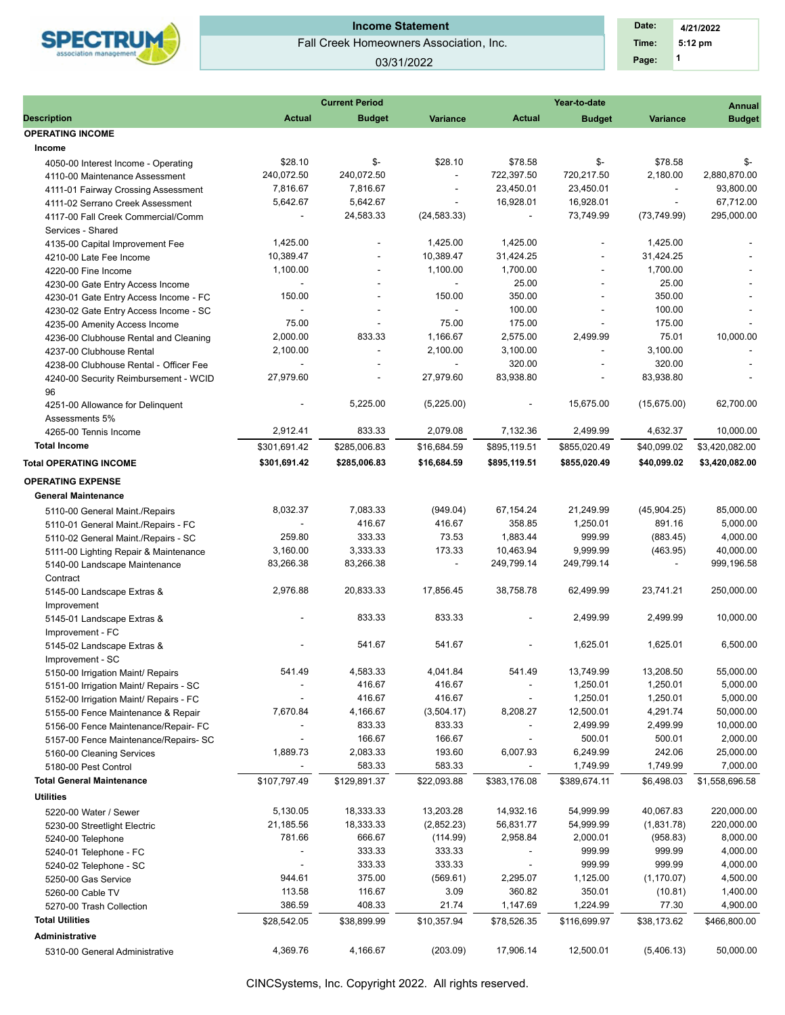

### Fall Creek Homeowners Association, Inc. **Income Statement**

03/31/2022

|                                        |                          | <b>Current Period</b>    |                          |                          | Year-to-date             |                 | <b>Annual</b>  |
|----------------------------------------|--------------------------|--------------------------|--------------------------|--------------------------|--------------------------|-----------------|----------------|
| <b>Description</b>                     | <b>Actual</b>            | <b>Budget</b>            | <b>Variance</b>          | <b>Actual</b>            | <b>Budget</b>            | <b>Variance</b> | <b>Budget</b>  |
| <b>OPERATING INCOME</b>                |                          |                          |                          |                          |                          |                 |                |
| Income                                 |                          |                          |                          |                          |                          |                 |                |
| 4050-00 Interest Income - Operating    | \$28.10                  | \$-                      | \$28.10                  | \$78.58                  | \$-                      | \$78.58         | \$-            |
| 4110-00 Maintenance Assessment         | 240,072.50               | 240,072.50               | $\blacksquare$           | 722,397.50               | 720,217.50               | 2.180.00        | 2,880,870.00   |
| 4111-01 Fairway Crossing Assessment    | 7,816.67                 | 7,816.67                 | $\overline{\phantom{a}}$ | 23,450.01                | 23,450.01                | $\sim$          | 93,800.00      |
| 4111-02 Serrano Creek Assessment       | 5,642.67                 | 5,642.67                 | $\sim$                   | 16,928.01                | 16,928.01                | $\sim$          | 67,712.00      |
| 4117-00 Fall Creek Commercial/Comm     | $\overline{\phantom{a}}$ | 24,583.33                | (24, 583.33)             | $\overline{\phantom{a}}$ | 73,749.99                | (73, 749.99)    | 295,000.00     |
| Services - Shared                      |                          |                          |                          |                          |                          |                 |                |
| 4135-00 Capital Improvement Fee        | 1,425.00                 | $\overline{\phantom{a}}$ | 1,425.00                 | 1,425.00                 | $\overline{\phantom{a}}$ | 1,425.00        |                |
| 4210-00 Late Fee Income                | 10,389.47                | $\overline{a}$           | 10,389.47                | 31,424.25                |                          | 31,424.25       |                |
| 4220-00 Fine Income                    | 1,100.00                 | ÷,                       | 1,100.00                 | 1,700.00                 | $\overline{\phantom{a}}$ | 1,700.00        |                |
| 4230-00 Gate Entry Access Income       | ÷,                       |                          | ÷.                       | 25.00                    | ÷,                       | 25.00           |                |
| 4230-01 Gate Entry Access Income - FC  | 150.00                   |                          | 150.00                   | 350.00                   |                          | 350.00          |                |
| 4230-02 Gate Entry Access Income - SC  |                          |                          | $\sim$                   | 100.00                   |                          | 100.00          |                |
| 4235-00 Amenity Access Income          | 75.00                    |                          | 75.00                    | 175.00                   |                          | 175.00          |                |
| 4236-00 Clubhouse Rental and Cleaning  | 2,000.00                 | 833.33                   | 1,166.67                 | 2,575.00                 | 2,499.99                 | 75.01           | 10,000.00      |
| 4237-00 Clubhouse Rental               | 2,100.00                 | $\sim$                   | 2,100.00                 | 3,100.00                 | $\overline{\phantom{a}}$ | 3,100.00        |                |
| 4238-00 Clubhouse Rental - Officer Fee |                          |                          | ÷.                       | 320.00                   |                          | 320.00          |                |
|                                        | 27,979.60                | ÷,                       | 27,979.60                | 83,938.80                | $\overline{\phantom{a}}$ | 83,938.80       |                |
| 4240-00 Security Reimbursement - WCID  |                          |                          |                          |                          |                          |                 |                |
| 96                                     |                          |                          |                          |                          |                          |                 |                |
| 4251-00 Allowance for Delinquent       | $\overline{\phantom{a}}$ | 5,225.00                 | (5,225.00)               | $\overline{\phantom{a}}$ | 15,675.00                | (15,675.00)     | 62,700.00      |
| Assessments 5%                         |                          |                          |                          |                          |                          |                 |                |
| 4265-00 Tennis Income                  | 2,912.41                 | 833.33                   | 2,079.08                 | 7,132.36                 | 2,499.99                 | 4,632.37        | 10,000.00      |
| <b>Total Income</b>                    | \$301,691.42             | \$285,006.83             | \$16,684.59              | \$895,119.51             | \$855,020.49             | \$40,099.02     | \$3,420,082.00 |
| <b>Total OPERATING INCOME</b>          | \$301,691.42             | \$285,006.83             | \$16,684.59              | \$895,119.51             | \$855,020.49             | \$40,099.02     | \$3,420,082.00 |
| <b>OPERATING EXPENSE</b>               |                          |                          |                          |                          |                          |                 |                |
| <b>General Maintenance</b>             |                          |                          |                          |                          |                          |                 |                |
| 5110-00 General Maint./Repairs         | 8,032.37                 | 7,083.33                 | (949.04)                 | 67,154.24                | 21,249.99                | (45,904.25)     | 85,000.00      |
| 5110-01 General Maint./Repairs - FC    |                          | 416.67                   | 416.67                   | 358.85                   | 1,250.01                 | 891.16          | 5,000.00       |
| 5110-02 General Maint./Repairs - SC    | 259.80                   | 333.33                   | 73.53                    | 1,883.44                 | 999.99                   | (883.45)        | 4,000.00       |
| 5111-00 Lighting Repair & Maintenance  | 3,160.00                 | 3,333.33                 | 173.33                   | 10,463.94                | 9,999.99                 | (463.95)        | 40,000.00      |
| 5140-00 Landscape Maintenance          | 83,266.38                | 83,266.38                | $\overline{\phantom{a}}$ | 249,799.14               | 249,799.14               | $\blacksquare$  | 999,196.58     |
| Contract                               |                          |                          |                          |                          |                          |                 |                |
| 5145-00 Landscape Extras &             | 2,976.88                 | 20,833.33                | 17,856.45                | 38,758.78                | 62,499.99                | 23,741.21       | 250,000.00     |
| Improvement                            |                          |                          |                          |                          |                          |                 |                |
| 5145-01 Landscape Extras &             |                          | 833.33                   | 833.33                   |                          | 2,499.99                 | 2,499.99        | 10,000.00      |
| Improvement - FC                       |                          |                          |                          |                          |                          |                 |                |
|                                        |                          | 541.67                   | 541.67                   |                          | 1,625.01                 | 1,625.01        | 6,500.00       |
| 5145-02 Landscape Extras &             |                          |                          |                          |                          |                          |                 |                |
| Improvement - SC                       |                          | 4,583.33                 | 4,041.84                 |                          |                          |                 | 55,000.00      |
| 5150-00 Irrigation Maint/ Repairs      | 541.49                   |                          |                          | 541.49                   | 13,749.99                | 13,208.50       |                |
| 5151-00 Irrigation Maint/ Repairs - SC |                          | 416.67                   | 416.67                   |                          | 1,250.01                 | 1,250.01        | 5,000.00       |
| 5152-00 Irrigation Maint/ Repairs - FC |                          | 416.67                   | 416.67                   | ÷,                       | 1,250.01                 | 1,250.01        | 5,000.00       |
| 5155-00 Fence Maintenance & Repair     | 7,670.84                 | 4,166.67                 | (3,504.17)               | 8,208.27                 | 12,500.01                | 4,291.74        | 50,000.00      |
| 5156-00 Fence Maintenance/Repair- FC   |                          | 833.33                   | 833.33                   |                          | 2,499.99                 | 2,499.99        | 10,000.00      |
| 5157-00 Fence Maintenance/Repairs- SC  |                          | 166.67                   | 166.67                   |                          | 500.01                   | 500.01          | 2,000.00       |
| 5160-00 Cleaning Services              | 1,889.73                 | 2,083.33                 | 193.60                   | 6,007.93                 | 6,249.99                 | 242.06          | 25,000.00      |
| 5180-00 Pest Control                   |                          | 583.33                   | 583.33                   |                          | 1,749.99                 | 1,749.99        | 7,000.00       |
| <b>Total General Maintenance</b>       | \$107,797.49             | \$129,891.37             | \$22,093.88              | \$383,176.08             | \$389,674.11             | \$6,498.03      | \$1,558,696.58 |
| <b>Utilities</b>                       |                          |                          |                          |                          |                          |                 |                |
| 5220-00 Water / Sewer                  | 5,130.05                 | 18,333.33                | 13,203.28                | 14,932.16                | 54,999.99                | 40,067.83       | 220,000.00     |
| 5230-00 Streetlight Electric           | 21,185.56                | 18,333.33                | (2,852.23)               | 56,831.77                | 54,999.99                | (1,831.78)      | 220,000.00     |
| 5240-00 Telephone                      | 781.66                   | 666.67                   | (114.99)                 | 2,958.84                 | 2,000.01                 | (958.83)        | 8,000.00       |
| 5240-01 Telephone - FC                 |                          | 333.33                   | 333.33                   |                          | 999.99                   | 999.99          | 4,000.00       |
| 5240-02 Telephone - SC                 |                          | 333.33                   | 333.33                   |                          | 999.99                   | 999.99          | 4,000.00       |
| 5250-00 Gas Service                    | 944.61                   | 375.00                   | (569.61)                 | 2,295.07                 | 1,125.00                 | (1, 170.07)     | 4,500.00       |
| 5260-00 Cable TV                       | 113.58                   | 116.67                   | 3.09                     | 360.82                   | 350.01                   | (10.81)         | 1,400.00       |
| 5270-00 Trash Collection               | 386.59                   | 408.33                   | 21.74                    | 1,147.69                 | 1,224.99                 | 77.30           | 4,900.00       |
| <b>Total Utilities</b>                 | \$28,542.05              | \$38,899.99              | \$10,357.94              | \$78,526.35              | \$116,699.97             | \$38,173.62     | \$466,800.00   |
|                                        |                          |                          |                          |                          |                          |                 |                |
| Administrative                         |                          |                          |                          |                          |                          |                 |                |
| 5310-00 General Administrative         | 4,369.76                 | 4,166.67                 | (203.09)                 | 17,906.14                | 12,500.01                | (5,406.13)      | 50,000.00      |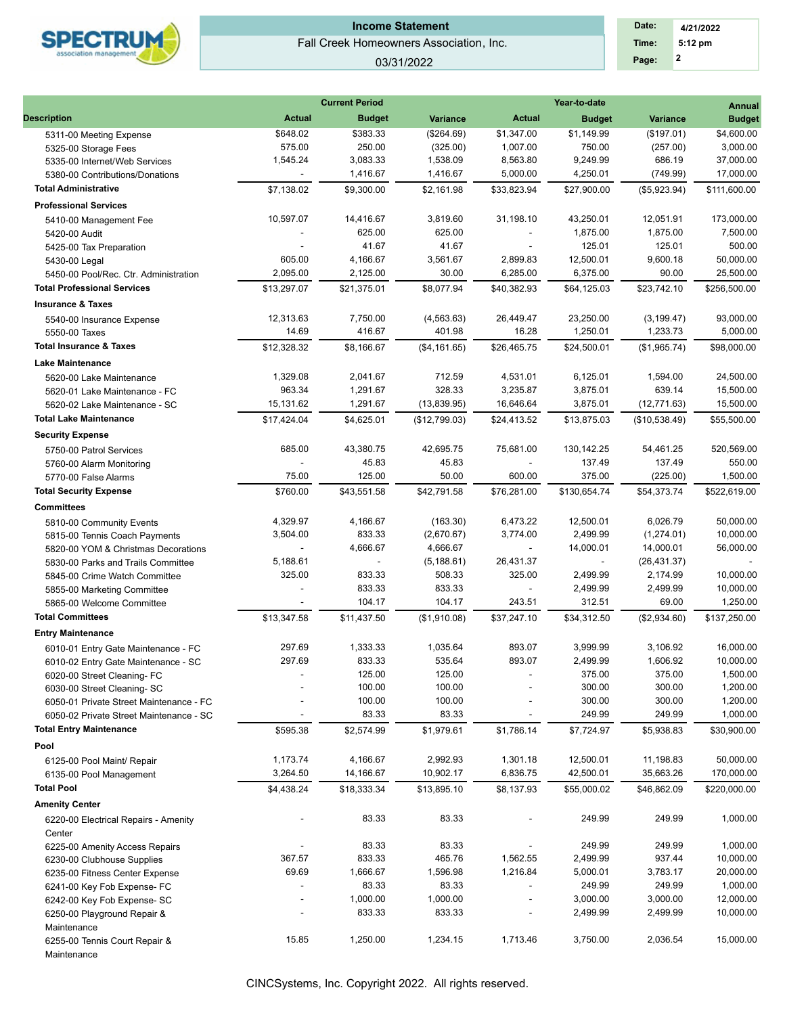

## Fall Creek Homeowners Association, Inc. **Income Statement**

#### 03/31/2022

| Date: | 4/21/2022 |  |
|-------|-----------|--|
| Time: | $5:12$ pm |  |
| Page: | 2         |  |

| <b>Actual</b><br><b>Description</b><br><b>Actual</b><br><b>Variance</b><br><b>Variance</b><br><b>Budget</b><br><b>Budget</b><br>\$383.33<br>\$1,149.99<br>\$648.02<br>(\$264.69)<br>\$1,347.00<br>(\$197.01)<br>5311-00 Meeting Expense<br>575.00<br>250.00<br>(325.00)<br>1,007.00<br>750.00<br>(257.00)<br>5325-00 Storage Fees<br>1,545.24<br>3,083.33<br>1,538.09<br>8,563.80<br>9,249.99<br>686.19<br>5335-00 Internet/Web Services<br>1,416.67<br>1,416.67<br>5,000.00<br>4,250.01<br>(749.99)<br>5380-00 Contributions/Donations<br>$\overline{\phantom{a}}$<br><b>Total Administrative</b><br>\$7,138.02<br>\$9,300.00<br>\$2,161.98<br>\$33,823.94<br>\$27,900.00<br>(\$5,923.94)<br><b>Professional Services</b><br>10,597.07<br>14,416.67<br>3,819.60<br>31,198.10<br>43,250.01<br>12,051.91<br>5410-00 Management Fee<br>625.00<br>625.00<br>1,875.00<br>1,875.00<br>5420-00 Audit<br>41.67<br>41.67<br>125.01<br>125.01<br>5425-00 Tax Preparation<br>605.00<br>4,166.67<br>3,561.67<br>2,899.83<br>12,500.01<br>9,600.18<br>5430-00 Legal<br>30.00<br>2,095.00<br>2,125.00<br>6,285.00<br>6,375.00<br>90.00<br>5450-00 Pool/Rec. Ctr. Administration<br><b>Total Professional Services</b><br>\$13,297.07<br>\$40,382.93<br>\$21,375.01<br>\$8,077.94<br>\$64,125.03<br>\$23,742.10<br><b>Insurance &amp; Taxes</b><br>12,313.63<br>7,750.00<br>23,250.00<br>(4, 563.63)<br>26,449.47<br>(3, 199.47)<br>5540-00 Insurance Expense<br>14.69<br>416.67<br>401.98<br>16.28<br>1,250.01<br>1,233.73<br>5550-00 Taxes<br><b>Total Insurance &amp; Taxes</b><br>\$12,328.32<br>\$26.465.75<br>\$8,166.67<br>(\$4,161.65)<br>\$24,500.01<br>(\$1,965.74)<br><b>Lake Maintenance</b><br>1,329.08<br>2,041.67<br>712.59<br>4,531.01<br>6,125.01<br>1,594.00<br>5620-00 Lake Maintenance<br>328.33<br>963.34<br>1,291.67<br>3,235.87<br>3,875.01<br>639.14<br>5620-01 Lake Maintenance - FC<br>15,131.62<br>1,291.67<br>(13,839.95)<br>16,646.64<br>3,875.01<br>(12, 771.63)<br>5620-02 Lake Maintenance - SC<br><b>Total Lake Maintenance</b><br>\$17,424.04<br>\$4,625.01<br>(\$12,799.03)<br>\$24,413.52<br>\$13,875.03<br>(\$10,538.49)<br><b>Security Expense</b><br>685.00<br>43,380.75<br>42,695.75<br>75,681.00<br>130,142.25<br>54,461.25<br>5750-00 Patrol Services<br>45.83<br>45.83<br>137.49<br>137.49<br>5760-00 Alarm Monitoring<br>75.00<br>125.00<br>50.00<br>600.00<br>375.00<br>(225.00)<br>5770-00 False Alarms<br><b>Total Security Expense</b><br>\$43,551.58<br>\$76,281.00<br>\$54,373.74<br>\$760.00<br>\$42,791.58<br>\$130,654.74<br><b>Committees</b><br>4,329.97<br>4,166.67<br>(163.30)<br>6,473.22<br>12,500.01<br>6,026.79<br>5810-00 Community Events<br>833.33<br>(2,670.67)<br>3,774.00<br>2,499.99<br>3,504.00<br>(1,274.01)<br>5815-00 Tennis Coach Payments<br>4,666.67<br>4,666.67<br>14,000.01<br>14,000.01<br>$\sim$<br>5820-00 YOM & Christmas Decorations<br>26,431.37<br>5,188.61<br>(5, 188.61)<br>(26, 431.37)<br>$\sim$<br>$\sim$<br>5830-00 Parks and Trails Committee<br>833.33<br>325.00<br>508.33<br>325.00<br>2,499.99<br>2,174.99<br>5845-00 Crime Watch Committee<br>833.33<br>833.33<br>2,499.99<br>2,499.99<br>5855-00 Marketing Committee<br>÷,<br>104.17<br>243.51<br>312.51<br>104.17<br>69.00<br>5865-00 Welcome Committee<br><b>Total Committees</b><br>\$13,347.58<br>\$11,437.50<br>(\$1,910.08)<br>\$37,247.10<br>\$34,312.50<br>(\$2,934.60)<br><b>Entry Maintenance</b><br>297.69<br>1,333.33<br>1,035.64<br>893.07<br>3,999.99<br>3,106.92<br>6010-01 Entry Gate Maintenance - FC<br>297.69<br>833.33<br>535.64<br>893.07<br>2,499.99<br>1,606.92<br>6010-02 Entry Gate Maintenance - SC<br>6020-00 Street Cleaning-FC<br>125.00<br>125.00<br>375.00<br>375.00<br>100.00<br>100.00<br>300.00<br>300.00<br>6030-00 Street Cleaning-SC<br>100.00<br>100.00<br>300.00<br>300.00<br>6050-01 Private Street Maintenance - FC<br>83.33<br>83.33<br>249.99<br>249.99<br>6050-02 Private Street Maintenance - SC<br><b>Total Entry Maintenance</b><br>\$595.38<br>\$7,724.97<br>\$5,938.83<br>\$2,574.99<br>\$1,979.61<br>\$1,786.14<br>Pool<br>1,173.74<br>4,166.67<br>2,992.93<br>1,301.18<br>12,500.01<br>11,198.83<br>6125-00 Pool Maint/ Repair<br>3,264.50<br>14,166.67<br>10,902.17<br>6,836.75<br>42,500.01<br>35,663.26<br>6135-00 Pool Management<br><b>Total Pool</b><br>\$4,438.24<br>\$18,333.34<br>\$13,895.10<br>\$8,137.93<br>\$55,000.02<br>\$46,862.09<br><b>Amenity Center</b><br>83.33<br>83.33<br>249.99<br>249.99<br>6220-00 Electrical Repairs - Amenity<br>Center<br>83.33<br>83.33<br>249.99<br>249.99<br>6225-00 Amenity Access Repairs<br>367.57<br>833.33<br>465.76<br>1,562.55<br>2,499.99<br>937.44<br>6230-00 Clubhouse Supplies | Year-to-date                                                          | <b>Current Period</b> |       |  |
|--------------------------------------------------------------------------------------------------------------------------------------------------------------------------------------------------------------------------------------------------------------------------------------------------------------------------------------------------------------------------------------------------------------------------------------------------------------------------------------------------------------------------------------------------------------------------------------------------------------------------------------------------------------------------------------------------------------------------------------------------------------------------------------------------------------------------------------------------------------------------------------------------------------------------------------------------------------------------------------------------------------------------------------------------------------------------------------------------------------------------------------------------------------------------------------------------------------------------------------------------------------------------------------------------------------------------------------------------------------------------------------------------------------------------------------------------------------------------------------------------------------------------------------------------------------------------------------------------------------------------------------------------------------------------------------------------------------------------------------------------------------------------------------------------------------------------------------------------------------------------------------------------------------------------------------------------------------------------------------------------------------------------------------------------------------------------------------------------------------------------------------------------------------------------------------------------------------------------------------------------------------------------------------------------------------------------------------------------------------------------------------------------------------------------------------------------------------------------------------------------------------------------------------------------------------------------------------------------------------------------------------------------------------------------------------------------------------------------------------------------------------------------------------------------------------------------------------------------------------------------------------------------------------------------------------------------------------------------------------------------------------------------------------------------------------------------------------------------------------------------------------------------------------------------------------------------------------------------------------------------------------------------------------------------------------------------------------------------------------------------------------------------------------------------------------------------------------------------------------------------------------------------------------------------------------------------------------------------------------------------------------------------------------------------------------------------------------------------------------------------------------------------------------------------------------------------------------------------------------------------------------------------------------------------------------------------------------------------------------------------------------------------------------------------------------------------------------------------------------------------------------------------------------------------------------------------------------------------------------------------------------------------------------------------------------------------------------------------------------------------------------------------------------------------------------------------------------------------------------------------------------------------------------------------------------------------------------------------------------------------------------------------------------------------------------------------------------------------------|-----------------------------------------------------------------------|-----------------------|-------|--|
|                                                                                                                                                                                                                                                                                                                                                                                                                                                                                                                                                                                                                                                                                                                                                                                                                                                                                                                                                                                                                                                                                                                                                                                                                                                                                                                                                                                                                                                                                                                                                                                                                                                                                                                                                                                                                                                                                                                                                                                                                                                                                                                                                                                                                                                                                                                                                                                                                                                                                                                                                                                                                                                                                                                                                                                                                                                                                                                                                                                                                                                                                                                                                                                                                                                                                                                                                                                                                                                                                                                                                                                                                                                                                                                                                                                                                                                                                                                                                                                                                                                                                                                                                                                                                                                                                                                                                                                                                                                                                                                                                                                                                                                                                                                                |                                                                       |                       |       |  |
|                                                                                                                                                                                                                                                                                                                                                                                                                                                                                                                                                                                                                                                                                                                                                                                                                                                                                                                                                                                                                                                                                                                                                                                                                                                                                                                                                                                                                                                                                                                                                                                                                                                                                                                                                                                                                                                                                                                                                                                                                                                                                                                                                                                                                                                                                                                                                                                                                                                                                                                                                                                                                                                                                                                                                                                                                                                                                                                                                                                                                                                                                                                                                                                                                                                                                                                                                                                                                                                                                                                                                                                                                                                                                                                                                                                                                                                                                                                                                                                                                                                                                                                                                                                                                                                                                                                                                                                                                                                                                                                                                                                                                                                                                                                                | \$4,600.00                                                            |                       |       |  |
|                                                                                                                                                                                                                                                                                                                                                                                                                                                                                                                                                                                                                                                                                                                                                                                                                                                                                                                                                                                                                                                                                                                                                                                                                                                                                                                                                                                                                                                                                                                                                                                                                                                                                                                                                                                                                                                                                                                                                                                                                                                                                                                                                                                                                                                                                                                                                                                                                                                                                                                                                                                                                                                                                                                                                                                                                                                                                                                                                                                                                                                                                                                                                                                                                                                                                                                                                                                                                                                                                                                                                                                                                                                                                                                                                                                                                                                                                                                                                                                                                                                                                                                                                                                                                                                                                                                                                                                                                                                                                                                                                                                                                                                                                                                                | 3,000.00                                                              |                       |       |  |
|                                                                                                                                                                                                                                                                                                                                                                                                                                                                                                                                                                                                                                                                                                                                                                                                                                                                                                                                                                                                                                                                                                                                                                                                                                                                                                                                                                                                                                                                                                                                                                                                                                                                                                                                                                                                                                                                                                                                                                                                                                                                                                                                                                                                                                                                                                                                                                                                                                                                                                                                                                                                                                                                                                                                                                                                                                                                                                                                                                                                                                                                                                                                                                                                                                                                                                                                                                                                                                                                                                                                                                                                                                                                                                                                                                                                                                                                                                                                                                                                                                                                                                                                                                                                                                                                                                                                                                                                                                                                                                                                                                                                                                                                                                                                | 37,000.00                                                             |                       |       |  |
|                                                                                                                                                                                                                                                                                                                                                                                                                                                                                                                                                                                                                                                                                                                                                                                                                                                                                                                                                                                                                                                                                                                                                                                                                                                                                                                                                                                                                                                                                                                                                                                                                                                                                                                                                                                                                                                                                                                                                                                                                                                                                                                                                                                                                                                                                                                                                                                                                                                                                                                                                                                                                                                                                                                                                                                                                                                                                                                                                                                                                                                                                                                                                                                                                                                                                                                                                                                                                                                                                                                                                                                                                                                                                                                                                                                                                                                                                                                                                                                                                                                                                                                                                                                                                                                                                                                                                                                                                                                                                                                                                                                                                                                                                                                                | 17,000.00                                                             |                       |       |  |
|                                                                                                                                                                                                                                                                                                                                                                                                                                                                                                                                                                                                                                                                                                                                                                                                                                                                                                                                                                                                                                                                                                                                                                                                                                                                                                                                                                                                                                                                                                                                                                                                                                                                                                                                                                                                                                                                                                                                                                                                                                                                                                                                                                                                                                                                                                                                                                                                                                                                                                                                                                                                                                                                                                                                                                                                                                                                                                                                                                                                                                                                                                                                                                                                                                                                                                                                                                                                                                                                                                                                                                                                                                                                                                                                                                                                                                                                                                                                                                                                                                                                                                                                                                                                                                                                                                                                                                                                                                                                                                                                                                                                                                                                                                                                | \$111,600.00                                                          |                       |       |  |
|                                                                                                                                                                                                                                                                                                                                                                                                                                                                                                                                                                                                                                                                                                                                                                                                                                                                                                                                                                                                                                                                                                                                                                                                                                                                                                                                                                                                                                                                                                                                                                                                                                                                                                                                                                                                                                                                                                                                                                                                                                                                                                                                                                                                                                                                                                                                                                                                                                                                                                                                                                                                                                                                                                                                                                                                                                                                                                                                                                                                                                                                                                                                                                                                                                                                                                                                                                                                                                                                                                                                                                                                                                                                                                                                                                                                                                                                                                                                                                                                                                                                                                                                                                                                                                                                                                                                                                                                                                                                                                                                                                                                                                                                                                                                |                                                                       |                       |       |  |
|                                                                                                                                                                                                                                                                                                                                                                                                                                                                                                                                                                                                                                                                                                                                                                                                                                                                                                                                                                                                                                                                                                                                                                                                                                                                                                                                                                                                                                                                                                                                                                                                                                                                                                                                                                                                                                                                                                                                                                                                                                                                                                                                                                                                                                                                                                                                                                                                                                                                                                                                                                                                                                                                                                                                                                                                                                                                                                                                                                                                                                                                                                                                                                                                                                                                                                                                                                                                                                                                                                                                                                                                                                                                                                                                                                                                                                                                                                                                                                                                                                                                                                                                                                                                                                                                                                                                                                                                                                                                                                                                                                                                                                                                                                                                | 173,000.00                                                            |                       |       |  |
|                                                                                                                                                                                                                                                                                                                                                                                                                                                                                                                                                                                                                                                                                                                                                                                                                                                                                                                                                                                                                                                                                                                                                                                                                                                                                                                                                                                                                                                                                                                                                                                                                                                                                                                                                                                                                                                                                                                                                                                                                                                                                                                                                                                                                                                                                                                                                                                                                                                                                                                                                                                                                                                                                                                                                                                                                                                                                                                                                                                                                                                                                                                                                                                                                                                                                                                                                                                                                                                                                                                                                                                                                                                                                                                                                                                                                                                                                                                                                                                                                                                                                                                                                                                                                                                                                                                                                                                                                                                                                                                                                                                                                                                                                                                                | 7,500.00                                                              |                       |       |  |
|                                                                                                                                                                                                                                                                                                                                                                                                                                                                                                                                                                                                                                                                                                                                                                                                                                                                                                                                                                                                                                                                                                                                                                                                                                                                                                                                                                                                                                                                                                                                                                                                                                                                                                                                                                                                                                                                                                                                                                                                                                                                                                                                                                                                                                                                                                                                                                                                                                                                                                                                                                                                                                                                                                                                                                                                                                                                                                                                                                                                                                                                                                                                                                                                                                                                                                                                                                                                                                                                                                                                                                                                                                                                                                                                                                                                                                                                                                                                                                                                                                                                                                                                                                                                                                                                                                                                                                                                                                                                                                                                                                                                                                                                                                                                |                                                                       |                       |       |  |
|                                                                                                                                                                                                                                                                                                                                                                                                                                                                                                                                                                                                                                                                                                                                                                                                                                                                                                                                                                                                                                                                                                                                                                                                                                                                                                                                                                                                                                                                                                                                                                                                                                                                                                                                                                                                                                                                                                                                                                                                                                                                                                                                                                                                                                                                                                                                                                                                                                                                                                                                                                                                                                                                                                                                                                                                                                                                                                                                                                                                                                                                                                                                                                                                                                                                                                                                                                                                                                                                                                                                                                                                                                                                                                                                                                                                                                                                                                                                                                                                                                                                                                                                                                                                                                                                                                                                                                                                                                                                                                                                                                                                                                                                                                                                | 50,000.00                                                             |                       |       |  |
|                                                                                                                                                                                                                                                                                                                                                                                                                                                                                                                                                                                                                                                                                                                                                                                                                                                                                                                                                                                                                                                                                                                                                                                                                                                                                                                                                                                                                                                                                                                                                                                                                                                                                                                                                                                                                                                                                                                                                                                                                                                                                                                                                                                                                                                                                                                                                                                                                                                                                                                                                                                                                                                                                                                                                                                                                                                                                                                                                                                                                                                                                                                                                                                                                                                                                                                                                                                                                                                                                                                                                                                                                                                                                                                                                                                                                                                                                                                                                                                                                                                                                                                                                                                                                                                                                                                                                                                                                                                                                                                                                                                                                                                                                                                                | 25,500.00                                                             |                       |       |  |
|                                                                                                                                                                                                                                                                                                                                                                                                                                                                                                                                                                                                                                                                                                                                                                                                                                                                                                                                                                                                                                                                                                                                                                                                                                                                                                                                                                                                                                                                                                                                                                                                                                                                                                                                                                                                                                                                                                                                                                                                                                                                                                                                                                                                                                                                                                                                                                                                                                                                                                                                                                                                                                                                                                                                                                                                                                                                                                                                                                                                                                                                                                                                                                                                                                                                                                                                                                                                                                                                                                                                                                                                                                                                                                                                                                                                                                                                                                                                                                                                                                                                                                                                                                                                                                                                                                                                                                                                                                                                                                                                                                                                                                                                                                                                | \$256,500.00                                                          |                       |       |  |
|                                                                                                                                                                                                                                                                                                                                                                                                                                                                                                                                                                                                                                                                                                                                                                                                                                                                                                                                                                                                                                                                                                                                                                                                                                                                                                                                                                                                                                                                                                                                                                                                                                                                                                                                                                                                                                                                                                                                                                                                                                                                                                                                                                                                                                                                                                                                                                                                                                                                                                                                                                                                                                                                                                                                                                                                                                                                                                                                                                                                                                                                                                                                                                                                                                                                                                                                                                                                                                                                                                                                                                                                                                                                                                                                                                                                                                                                                                                                                                                                                                                                                                                                                                                                                                                                                                                                                                                                                                                                                                                                                                                                                                                                                                                                |                                                                       |                       |       |  |
|                                                                                                                                                                                                                                                                                                                                                                                                                                                                                                                                                                                                                                                                                                                                                                                                                                                                                                                                                                                                                                                                                                                                                                                                                                                                                                                                                                                                                                                                                                                                                                                                                                                                                                                                                                                                                                                                                                                                                                                                                                                                                                                                                                                                                                                                                                                                                                                                                                                                                                                                                                                                                                                                                                                                                                                                                                                                                                                                                                                                                                                                                                                                                                                                                                                                                                                                                                                                                                                                                                                                                                                                                                                                                                                                                                                                                                                                                                                                                                                                                                                                                                                                                                                                                                                                                                                                                                                                                                                                                                                                                                                                                                                                                                                                | 93,000.00                                                             |                       |       |  |
|                                                                                                                                                                                                                                                                                                                                                                                                                                                                                                                                                                                                                                                                                                                                                                                                                                                                                                                                                                                                                                                                                                                                                                                                                                                                                                                                                                                                                                                                                                                                                                                                                                                                                                                                                                                                                                                                                                                                                                                                                                                                                                                                                                                                                                                                                                                                                                                                                                                                                                                                                                                                                                                                                                                                                                                                                                                                                                                                                                                                                                                                                                                                                                                                                                                                                                                                                                                                                                                                                                                                                                                                                                                                                                                                                                                                                                                                                                                                                                                                                                                                                                                                                                                                                                                                                                                                                                                                                                                                                                                                                                                                                                                                                                                                |                                                                       |                       |       |  |
|                                                                                                                                                                                                                                                                                                                                                                                                                                                                                                                                                                                                                                                                                                                                                                                                                                                                                                                                                                                                                                                                                                                                                                                                                                                                                                                                                                                                                                                                                                                                                                                                                                                                                                                                                                                                                                                                                                                                                                                                                                                                                                                                                                                                                                                                                                                                                                                                                                                                                                                                                                                                                                                                                                                                                                                                                                                                                                                                                                                                                                                                                                                                                                                                                                                                                                                                                                                                                                                                                                                                                                                                                                                                                                                                                                                                                                                                                                                                                                                                                                                                                                                                                                                                                                                                                                                                                                                                                                                                                                                                                                                                                                                                                                                                | 5,000.00                                                              |                       |       |  |
|                                                                                                                                                                                                                                                                                                                                                                                                                                                                                                                                                                                                                                                                                                                                                                                                                                                                                                                                                                                                                                                                                                                                                                                                                                                                                                                                                                                                                                                                                                                                                                                                                                                                                                                                                                                                                                                                                                                                                                                                                                                                                                                                                                                                                                                                                                                                                                                                                                                                                                                                                                                                                                                                                                                                                                                                                                                                                                                                                                                                                                                                                                                                                                                                                                                                                                                                                                                                                                                                                                                                                                                                                                                                                                                                                                                                                                                                                                                                                                                                                                                                                                                                                                                                                                                                                                                                                                                                                                                                                                                                                                                                                                                                                                                                | \$98,000.00                                                           |                       |       |  |
|                                                                                                                                                                                                                                                                                                                                                                                                                                                                                                                                                                                                                                                                                                                                                                                                                                                                                                                                                                                                                                                                                                                                                                                                                                                                                                                                                                                                                                                                                                                                                                                                                                                                                                                                                                                                                                                                                                                                                                                                                                                                                                                                                                                                                                                                                                                                                                                                                                                                                                                                                                                                                                                                                                                                                                                                                                                                                                                                                                                                                                                                                                                                                                                                                                                                                                                                                                                                                                                                                                                                                                                                                                                                                                                                                                                                                                                                                                                                                                                                                                                                                                                                                                                                                                                                                                                                                                                                                                                                                                                                                                                                                                                                                                                                |                                                                       |                       |       |  |
|                                                                                                                                                                                                                                                                                                                                                                                                                                                                                                                                                                                                                                                                                                                                                                                                                                                                                                                                                                                                                                                                                                                                                                                                                                                                                                                                                                                                                                                                                                                                                                                                                                                                                                                                                                                                                                                                                                                                                                                                                                                                                                                                                                                                                                                                                                                                                                                                                                                                                                                                                                                                                                                                                                                                                                                                                                                                                                                                                                                                                                                                                                                                                                                                                                                                                                                                                                                                                                                                                                                                                                                                                                                                                                                                                                                                                                                                                                                                                                                                                                                                                                                                                                                                                                                                                                                                                                                                                                                                                                                                                                                                                                                                                                                                | 24,500.00                                                             |                       |       |  |
|                                                                                                                                                                                                                                                                                                                                                                                                                                                                                                                                                                                                                                                                                                                                                                                                                                                                                                                                                                                                                                                                                                                                                                                                                                                                                                                                                                                                                                                                                                                                                                                                                                                                                                                                                                                                                                                                                                                                                                                                                                                                                                                                                                                                                                                                                                                                                                                                                                                                                                                                                                                                                                                                                                                                                                                                                                                                                                                                                                                                                                                                                                                                                                                                                                                                                                                                                                                                                                                                                                                                                                                                                                                                                                                                                                                                                                                                                                                                                                                                                                                                                                                                                                                                                                                                                                                                                                                                                                                                                                                                                                                                                                                                                                                                | 15,500.00                                                             |                       |       |  |
|                                                                                                                                                                                                                                                                                                                                                                                                                                                                                                                                                                                                                                                                                                                                                                                                                                                                                                                                                                                                                                                                                                                                                                                                                                                                                                                                                                                                                                                                                                                                                                                                                                                                                                                                                                                                                                                                                                                                                                                                                                                                                                                                                                                                                                                                                                                                                                                                                                                                                                                                                                                                                                                                                                                                                                                                                                                                                                                                                                                                                                                                                                                                                                                                                                                                                                                                                                                                                                                                                                                                                                                                                                                                                                                                                                                                                                                                                                                                                                                                                                                                                                                                                                                                                                                                                                                                                                                                                                                                                                                                                                                                                                                                                                                                | 15,500.00                                                             |                       |       |  |
|                                                                                                                                                                                                                                                                                                                                                                                                                                                                                                                                                                                                                                                                                                                                                                                                                                                                                                                                                                                                                                                                                                                                                                                                                                                                                                                                                                                                                                                                                                                                                                                                                                                                                                                                                                                                                                                                                                                                                                                                                                                                                                                                                                                                                                                                                                                                                                                                                                                                                                                                                                                                                                                                                                                                                                                                                                                                                                                                                                                                                                                                                                                                                                                                                                                                                                                                                                                                                                                                                                                                                                                                                                                                                                                                                                                                                                                                                                                                                                                                                                                                                                                                                                                                                                                                                                                                                                                                                                                                                                                                                                                                                                                                                                                                | \$55,500.00                                                           |                       |       |  |
|                                                                                                                                                                                                                                                                                                                                                                                                                                                                                                                                                                                                                                                                                                                                                                                                                                                                                                                                                                                                                                                                                                                                                                                                                                                                                                                                                                                                                                                                                                                                                                                                                                                                                                                                                                                                                                                                                                                                                                                                                                                                                                                                                                                                                                                                                                                                                                                                                                                                                                                                                                                                                                                                                                                                                                                                                                                                                                                                                                                                                                                                                                                                                                                                                                                                                                                                                                                                                                                                                                                                                                                                                                                                                                                                                                                                                                                                                                                                                                                                                                                                                                                                                                                                                                                                                                                                                                                                                                                                                                                                                                                                                                                                                                                                |                                                                       |                       |       |  |
|                                                                                                                                                                                                                                                                                                                                                                                                                                                                                                                                                                                                                                                                                                                                                                                                                                                                                                                                                                                                                                                                                                                                                                                                                                                                                                                                                                                                                                                                                                                                                                                                                                                                                                                                                                                                                                                                                                                                                                                                                                                                                                                                                                                                                                                                                                                                                                                                                                                                                                                                                                                                                                                                                                                                                                                                                                                                                                                                                                                                                                                                                                                                                                                                                                                                                                                                                                                                                                                                                                                                                                                                                                                                                                                                                                                                                                                                                                                                                                                                                                                                                                                                                                                                                                                                                                                                                                                                                                                                                                                                                                                                                                                                                                                                | 520,569.00                                                            |                       |       |  |
|                                                                                                                                                                                                                                                                                                                                                                                                                                                                                                                                                                                                                                                                                                                                                                                                                                                                                                                                                                                                                                                                                                                                                                                                                                                                                                                                                                                                                                                                                                                                                                                                                                                                                                                                                                                                                                                                                                                                                                                                                                                                                                                                                                                                                                                                                                                                                                                                                                                                                                                                                                                                                                                                                                                                                                                                                                                                                                                                                                                                                                                                                                                                                                                                                                                                                                                                                                                                                                                                                                                                                                                                                                                                                                                                                                                                                                                                                                                                                                                                                                                                                                                                                                                                                                                                                                                                                                                                                                                                                                                                                                                                                                                                                                                                |                                                                       |                       |       |  |
|                                                                                                                                                                                                                                                                                                                                                                                                                                                                                                                                                                                                                                                                                                                                                                                                                                                                                                                                                                                                                                                                                                                                                                                                                                                                                                                                                                                                                                                                                                                                                                                                                                                                                                                                                                                                                                                                                                                                                                                                                                                                                                                                                                                                                                                                                                                                                                                                                                                                                                                                                                                                                                                                                                                                                                                                                                                                                                                                                                                                                                                                                                                                                                                                                                                                                                                                                                                                                                                                                                                                                                                                                                                                                                                                                                                                                                                                                                                                                                                                                                                                                                                                                                                                                                                                                                                                                                                                                                                                                                                                                                                                                                                                                                                                | 1,500.00                                                              |                       |       |  |
|                                                                                                                                                                                                                                                                                                                                                                                                                                                                                                                                                                                                                                                                                                                                                                                                                                                                                                                                                                                                                                                                                                                                                                                                                                                                                                                                                                                                                                                                                                                                                                                                                                                                                                                                                                                                                                                                                                                                                                                                                                                                                                                                                                                                                                                                                                                                                                                                                                                                                                                                                                                                                                                                                                                                                                                                                                                                                                                                                                                                                                                                                                                                                                                                                                                                                                                                                                                                                                                                                                                                                                                                                                                                                                                                                                                                                                                                                                                                                                                                                                                                                                                                                                                                                                                                                                                                                                                                                                                                                                                                                                                                                                                                                                                                | \$522,619.00                                                          |                       |       |  |
|                                                                                                                                                                                                                                                                                                                                                                                                                                                                                                                                                                                                                                                                                                                                                                                                                                                                                                                                                                                                                                                                                                                                                                                                                                                                                                                                                                                                                                                                                                                                                                                                                                                                                                                                                                                                                                                                                                                                                                                                                                                                                                                                                                                                                                                                                                                                                                                                                                                                                                                                                                                                                                                                                                                                                                                                                                                                                                                                                                                                                                                                                                                                                                                                                                                                                                                                                                                                                                                                                                                                                                                                                                                                                                                                                                                                                                                                                                                                                                                                                                                                                                                                                                                                                                                                                                                                                                                                                                                                                                                                                                                                                                                                                                                                |                                                                       |                       |       |  |
|                                                                                                                                                                                                                                                                                                                                                                                                                                                                                                                                                                                                                                                                                                                                                                                                                                                                                                                                                                                                                                                                                                                                                                                                                                                                                                                                                                                                                                                                                                                                                                                                                                                                                                                                                                                                                                                                                                                                                                                                                                                                                                                                                                                                                                                                                                                                                                                                                                                                                                                                                                                                                                                                                                                                                                                                                                                                                                                                                                                                                                                                                                                                                                                                                                                                                                                                                                                                                                                                                                                                                                                                                                                                                                                                                                                                                                                                                                                                                                                                                                                                                                                                                                                                                                                                                                                                                                                                                                                                                                                                                                                                                                                                                                                                | 50,000.00                                                             |                       |       |  |
|                                                                                                                                                                                                                                                                                                                                                                                                                                                                                                                                                                                                                                                                                                                                                                                                                                                                                                                                                                                                                                                                                                                                                                                                                                                                                                                                                                                                                                                                                                                                                                                                                                                                                                                                                                                                                                                                                                                                                                                                                                                                                                                                                                                                                                                                                                                                                                                                                                                                                                                                                                                                                                                                                                                                                                                                                                                                                                                                                                                                                                                                                                                                                                                                                                                                                                                                                                                                                                                                                                                                                                                                                                                                                                                                                                                                                                                                                                                                                                                                                                                                                                                                                                                                                                                                                                                                                                                                                                                                                                                                                                                                                                                                                                                                | 10,000.00                                                             |                       |       |  |
|                                                                                                                                                                                                                                                                                                                                                                                                                                                                                                                                                                                                                                                                                                                                                                                                                                                                                                                                                                                                                                                                                                                                                                                                                                                                                                                                                                                                                                                                                                                                                                                                                                                                                                                                                                                                                                                                                                                                                                                                                                                                                                                                                                                                                                                                                                                                                                                                                                                                                                                                                                                                                                                                                                                                                                                                                                                                                                                                                                                                                                                                                                                                                                                                                                                                                                                                                                                                                                                                                                                                                                                                                                                                                                                                                                                                                                                                                                                                                                                                                                                                                                                                                                                                                                                                                                                                                                                                                                                                                                                                                                                                                                                                                                                                | 56,000.00                                                             |                       |       |  |
|                                                                                                                                                                                                                                                                                                                                                                                                                                                                                                                                                                                                                                                                                                                                                                                                                                                                                                                                                                                                                                                                                                                                                                                                                                                                                                                                                                                                                                                                                                                                                                                                                                                                                                                                                                                                                                                                                                                                                                                                                                                                                                                                                                                                                                                                                                                                                                                                                                                                                                                                                                                                                                                                                                                                                                                                                                                                                                                                                                                                                                                                                                                                                                                                                                                                                                                                                                                                                                                                                                                                                                                                                                                                                                                                                                                                                                                                                                                                                                                                                                                                                                                                                                                                                                                                                                                                                                                                                                                                                                                                                                                                                                                                                                                                |                                                                       |                       |       |  |
|                                                                                                                                                                                                                                                                                                                                                                                                                                                                                                                                                                                                                                                                                                                                                                                                                                                                                                                                                                                                                                                                                                                                                                                                                                                                                                                                                                                                                                                                                                                                                                                                                                                                                                                                                                                                                                                                                                                                                                                                                                                                                                                                                                                                                                                                                                                                                                                                                                                                                                                                                                                                                                                                                                                                                                                                                                                                                                                                                                                                                                                                                                                                                                                                                                                                                                                                                                                                                                                                                                                                                                                                                                                                                                                                                                                                                                                                                                                                                                                                                                                                                                                                                                                                                                                                                                                                                                                                                                                                                                                                                                                                                                                                                                                                | 10,000.00                                                             |                       |       |  |
|                                                                                                                                                                                                                                                                                                                                                                                                                                                                                                                                                                                                                                                                                                                                                                                                                                                                                                                                                                                                                                                                                                                                                                                                                                                                                                                                                                                                                                                                                                                                                                                                                                                                                                                                                                                                                                                                                                                                                                                                                                                                                                                                                                                                                                                                                                                                                                                                                                                                                                                                                                                                                                                                                                                                                                                                                                                                                                                                                                                                                                                                                                                                                                                                                                                                                                                                                                                                                                                                                                                                                                                                                                                                                                                                                                                                                                                                                                                                                                                                                                                                                                                                                                                                                                                                                                                                                                                                                                                                                                                                                                                                                                                                                                                                | 10,000.00                                                             |                       |       |  |
|                                                                                                                                                                                                                                                                                                                                                                                                                                                                                                                                                                                                                                                                                                                                                                                                                                                                                                                                                                                                                                                                                                                                                                                                                                                                                                                                                                                                                                                                                                                                                                                                                                                                                                                                                                                                                                                                                                                                                                                                                                                                                                                                                                                                                                                                                                                                                                                                                                                                                                                                                                                                                                                                                                                                                                                                                                                                                                                                                                                                                                                                                                                                                                                                                                                                                                                                                                                                                                                                                                                                                                                                                                                                                                                                                                                                                                                                                                                                                                                                                                                                                                                                                                                                                                                                                                                                                                                                                                                                                                                                                                                                                                                                                                                                | 1,250.00                                                              |                       |       |  |
|                                                                                                                                                                                                                                                                                                                                                                                                                                                                                                                                                                                                                                                                                                                                                                                                                                                                                                                                                                                                                                                                                                                                                                                                                                                                                                                                                                                                                                                                                                                                                                                                                                                                                                                                                                                                                                                                                                                                                                                                                                                                                                                                                                                                                                                                                                                                                                                                                                                                                                                                                                                                                                                                                                                                                                                                                                                                                                                                                                                                                                                                                                                                                                                                                                                                                                                                                                                                                                                                                                                                                                                                                                                                                                                                                                                                                                                                                                                                                                                                                                                                                                                                                                                                                                                                                                                                                                                                                                                                                                                                                                                                                                                                                                                                |                                                                       |                       |       |  |
|                                                                                                                                                                                                                                                                                                                                                                                                                                                                                                                                                                                                                                                                                                                                                                                                                                                                                                                                                                                                                                                                                                                                                                                                                                                                                                                                                                                                                                                                                                                                                                                                                                                                                                                                                                                                                                                                                                                                                                                                                                                                                                                                                                                                                                                                                                                                                                                                                                                                                                                                                                                                                                                                                                                                                                                                                                                                                                                                                                                                                                                                                                                                                                                                                                                                                                                                                                                                                                                                                                                                                                                                                                                                                                                                                                                                                                                                                                                                                                                                                                                                                                                                                                                                                                                                                                                                                                                                                                                                                                                                                                                                                                                                                                                                | \$137,250.00                                                          |                       |       |  |
|                                                                                                                                                                                                                                                                                                                                                                                                                                                                                                                                                                                                                                                                                                                                                                                                                                                                                                                                                                                                                                                                                                                                                                                                                                                                                                                                                                                                                                                                                                                                                                                                                                                                                                                                                                                                                                                                                                                                                                                                                                                                                                                                                                                                                                                                                                                                                                                                                                                                                                                                                                                                                                                                                                                                                                                                                                                                                                                                                                                                                                                                                                                                                                                                                                                                                                                                                                                                                                                                                                                                                                                                                                                                                                                                                                                                                                                                                                                                                                                                                                                                                                                                                                                                                                                                                                                                                                                                                                                                                                                                                                                                                                                                                                                                |                                                                       |                       |       |  |
|                                                                                                                                                                                                                                                                                                                                                                                                                                                                                                                                                                                                                                                                                                                                                                                                                                                                                                                                                                                                                                                                                                                                                                                                                                                                                                                                                                                                                                                                                                                                                                                                                                                                                                                                                                                                                                                                                                                                                                                                                                                                                                                                                                                                                                                                                                                                                                                                                                                                                                                                                                                                                                                                                                                                                                                                                                                                                                                                                                                                                                                                                                                                                                                                                                                                                                                                                                                                                                                                                                                                                                                                                                                                                                                                                                                                                                                                                                                                                                                                                                                                                                                                                                                                                                                                                                                                                                                                                                                                                                                                                                                                                                                                                                                                | 16,000.00                                                             |                       |       |  |
|                                                                                                                                                                                                                                                                                                                                                                                                                                                                                                                                                                                                                                                                                                                                                                                                                                                                                                                                                                                                                                                                                                                                                                                                                                                                                                                                                                                                                                                                                                                                                                                                                                                                                                                                                                                                                                                                                                                                                                                                                                                                                                                                                                                                                                                                                                                                                                                                                                                                                                                                                                                                                                                                                                                                                                                                                                                                                                                                                                                                                                                                                                                                                                                                                                                                                                                                                                                                                                                                                                                                                                                                                                                                                                                                                                                                                                                                                                                                                                                                                                                                                                                                                                                                                                                                                                                                                                                                                                                                                                                                                                                                                                                                                                                                | 10,000.00                                                             |                       |       |  |
|                                                                                                                                                                                                                                                                                                                                                                                                                                                                                                                                                                                                                                                                                                                                                                                                                                                                                                                                                                                                                                                                                                                                                                                                                                                                                                                                                                                                                                                                                                                                                                                                                                                                                                                                                                                                                                                                                                                                                                                                                                                                                                                                                                                                                                                                                                                                                                                                                                                                                                                                                                                                                                                                                                                                                                                                                                                                                                                                                                                                                                                                                                                                                                                                                                                                                                                                                                                                                                                                                                                                                                                                                                                                                                                                                                                                                                                                                                                                                                                                                                                                                                                                                                                                                                                                                                                                                                                                                                                                                                                                                                                                                                                                                                                                | 1,500.00                                                              |                       |       |  |
|                                                                                                                                                                                                                                                                                                                                                                                                                                                                                                                                                                                                                                                                                                                                                                                                                                                                                                                                                                                                                                                                                                                                                                                                                                                                                                                                                                                                                                                                                                                                                                                                                                                                                                                                                                                                                                                                                                                                                                                                                                                                                                                                                                                                                                                                                                                                                                                                                                                                                                                                                                                                                                                                                                                                                                                                                                                                                                                                                                                                                                                                                                                                                                                                                                                                                                                                                                                                                                                                                                                                                                                                                                                                                                                                                                                                                                                                                                                                                                                                                                                                                                                                                                                                                                                                                                                                                                                                                                                                                                                                                                                                                                                                                                                                | 1,200.00                                                              |                       |       |  |
|                                                                                                                                                                                                                                                                                                                                                                                                                                                                                                                                                                                                                                                                                                                                                                                                                                                                                                                                                                                                                                                                                                                                                                                                                                                                                                                                                                                                                                                                                                                                                                                                                                                                                                                                                                                                                                                                                                                                                                                                                                                                                                                                                                                                                                                                                                                                                                                                                                                                                                                                                                                                                                                                                                                                                                                                                                                                                                                                                                                                                                                                                                                                                                                                                                                                                                                                                                                                                                                                                                                                                                                                                                                                                                                                                                                                                                                                                                                                                                                                                                                                                                                                                                                                                                                                                                                                                                                                                                                                                                                                                                                                                                                                                                                                | 1,200.00                                                              |                       |       |  |
|                                                                                                                                                                                                                                                                                                                                                                                                                                                                                                                                                                                                                                                                                                                                                                                                                                                                                                                                                                                                                                                                                                                                                                                                                                                                                                                                                                                                                                                                                                                                                                                                                                                                                                                                                                                                                                                                                                                                                                                                                                                                                                                                                                                                                                                                                                                                                                                                                                                                                                                                                                                                                                                                                                                                                                                                                                                                                                                                                                                                                                                                                                                                                                                                                                                                                                                                                                                                                                                                                                                                                                                                                                                                                                                                                                                                                                                                                                                                                                                                                                                                                                                                                                                                                                                                                                                                                                                                                                                                                                                                                                                                                                                                                                                                | 1,000.00                                                              |                       |       |  |
|                                                                                                                                                                                                                                                                                                                                                                                                                                                                                                                                                                                                                                                                                                                                                                                                                                                                                                                                                                                                                                                                                                                                                                                                                                                                                                                                                                                                                                                                                                                                                                                                                                                                                                                                                                                                                                                                                                                                                                                                                                                                                                                                                                                                                                                                                                                                                                                                                                                                                                                                                                                                                                                                                                                                                                                                                                                                                                                                                                                                                                                                                                                                                                                                                                                                                                                                                                                                                                                                                                                                                                                                                                                                                                                                                                                                                                                                                                                                                                                                                                                                                                                                                                                                                                                                                                                                                                                                                                                                                                                                                                                                                                                                                                                                | \$30,900.00                                                           |                       |       |  |
|                                                                                                                                                                                                                                                                                                                                                                                                                                                                                                                                                                                                                                                                                                                                                                                                                                                                                                                                                                                                                                                                                                                                                                                                                                                                                                                                                                                                                                                                                                                                                                                                                                                                                                                                                                                                                                                                                                                                                                                                                                                                                                                                                                                                                                                                                                                                                                                                                                                                                                                                                                                                                                                                                                                                                                                                                                                                                                                                                                                                                                                                                                                                                                                                                                                                                                                                                                                                                                                                                                                                                                                                                                                                                                                                                                                                                                                                                                                                                                                                                                                                                                                                                                                                                                                                                                                                                                                                                                                                                                                                                                                                                                                                                                                                |                                                                       |                       |       |  |
|                                                                                                                                                                                                                                                                                                                                                                                                                                                                                                                                                                                                                                                                                                                                                                                                                                                                                                                                                                                                                                                                                                                                                                                                                                                                                                                                                                                                                                                                                                                                                                                                                                                                                                                                                                                                                                                                                                                                                                                                                                                                                                                                                                                                                                                                                                                                                                                                                                                                                                                                                                                                                                                                                                                                                                                                                                                                                                                                                                                                                                                                                                                                                                                                                                                                                                                                                                                                                                                                                                                                                                                                                                                                                                                                                                                                                                                                                                                                                                                                                                                                                                                                                                                                                                                                                                                                                                                                                                                                                                                                                                                                                                                                                                                                | 50,000.00                                                             |                       |       |  |
|                                                                                                                                                                                                                                                                                                                                                                                                                                                                                                                                                                                                                                                                                                                                                                                                                                                                                                                                                                                                                                                                                                                                                                                                                                                                                                                                                                                                                                                                                                                                                                                                                                                                                                                                                                                                                                                                                                                                                                                                                                                                                                                                                                                                                                                                                                                                                                                                                                                                                                                                                                                                                                                                                                                                                                                                                                                                                                                                                                                                                                                                                                                                                                                                                                                                                                                                                                                                                                                                                                                                                                                                                                                                                                                                                                                                                                                                                                                                                                                                                                                                                                                                                                                                                                                                                                                                                                                                                                                                                                                                                                                                                                                                                                                                | 170,000.00                                                            |                       |       |  |
|                                                                                                                                                                                                                                                                                                                                                                                                                                                                                                                                                                                                                                                                                                                                                                                                                                                                                                                                                                                                                                                                                                                                                                                                                                                                                                                                                                                                                                                                                                                                                                                                                                                                                                                                                                                                                                                                                                                                                                                                                                                                                                                                                                                                                                                                                                                                                                                                                                                                                                                                                                                                                                                                                                                                                                                                                                                                                                                                                                                                                                                                                                                                                                                                                                                                                                                                                                                                                                                                                                                                                                                                                                                                                                                                                                                                                                                                                                                                                                                                                                                                                                                                                                                                                                                                                                                                                                                                                                                                                                                                                                                                                                                                                                                                | \$220,000.00                                                          |                       |       |  |
|                                                                                                                                                                                                                                                                                                                                                                                                                                                                                                                                                                                                                                                                                                                                                                                                                                                                                                                                                                                                                                                                                                                                                                                                                                                                                                                                                                                                                                                                                                                                                                                                                                                                                                                                                                                                                                                                                                                                                                                                                                                                                                                                                                                                                                                                                                                                                                                                                                                                                                                                                                                                                                                                                                                                                                                                                                                                                                                                                                                                                                                                                                                                                                                                                                                                                                                                                                                                                                                                                                                                                                                                                                                                                                                                                                                                                                                                                                                                                                                                                                                                                                                                                                                                                                                                                                                                                                                                                                                                                                                                                                                                                                                                                                                                |                                                                       |                       |       |  |
|                                                                                                                                                                                                                                                                                                                                                                                                                                                                                                                                                                                                                                                                                                                                                                                                                                                                                                                                                                                                                                                                                                                                                                                                                                                                                                                                                                                                                                                                                                                                                                                                                                                                                                                                                                                                                                                                                                                                                                                                                                                                                                                                                                                                                                                                                                                                                                                                                                                                                                                                                                                                                                                                                                                                                                                                                                                                                                                                                                                                                                                                                                                                                                                                                                                                                                                                                                                                                                                                                                                                                                                                                                                                                                                                                                                                                                                                                                                                                                                                                                                                                                                                                                                                                                                                                                                                                                                                                                                                                                                                                                                                                                                                                                                                | 1,000.00                                                              |                       |       |  |
|                                                                                                                                                                                                                                                                                                                                                                                                                                                                                                                                                                                                                                                                                                                                                                                                                                                                                                                                                                                                                                                                                                                                                                                                                                                                                                                                                                                                                                                                                                                                                                                                                                                                                                                                                                                                                                                                                                                                                                                                                                                                                                                                                                                                                                                                                                                                                                                                                                                                                                                                                                                                                                                                                                                                                                                                                                                                                                                                                                                                                                                                                                                                                                                                                                                                                                                                                                                                                                                                                                                                                                                                                                                                                                                                                                                                                                                                                                                                                                                                                                                                                                                                                                                                                                                                                                                                                                                                                                                                                                                                                                                                                                                                                                                                |                                                                       |                       |       |  |
|                                                                                                                                                                                                                                                                                                                                                                                                                                                                                                                                                                                                                                                                                                                                                                                                                                                                                                                                                                                                                                                                                                                                                                                                                                                                                                                                                                                                                                                                                                                                                                                                                                                                                                                                                                                                                                                                                                                                                                                                                                                                                                                                                                                                                                                                                                                                                                                                                                                                                                                                                                                                                                                                                                                                                                                                                                                                                                                                                                                                                                                                                                                                                                                                                                                                                                                                                                                                                                                                                                                                                                                                                                                                                                                                                                                                                                                                                                                                                                                                                                                                                                                                                                                                                                                                                                                                                                                                                                                                                                                                                                                                                                                                                                                                | 1,000.00                                                              |                       |       |  |
|                                                                                                                                                                                                                                                                                                                                                                                                                                                                                                                                                                                                                                                                                                                                                                                                                                                                                                                                                                                                                                                                                                                                                                                                                                                                                                                                                                                                                                                                                                                                                                                                                                                                                                                                                                                                                                                                                                                                                                                                                                                                                                                                                                                                                                                                                                                                                                                                                                                                                                                                                                                                                                                                                                                                                                                                                                                                                                                                                                                                                                                                                                                                                                                                                                                                                                                                                                                                                                                                                                                                                                                                                                                                                                                                                                                                                                                                                                                                                                                                                                                                                                                                                                                                                                                                                                                                                                                                                                                                                                                                                                                                                                                                                                                                | 10,000.00                                                             |                       |       |  |
| 6235-00 Fitness Center Expense                                                                                                                                                                                                                                                                                                                                                                                                                                                                                                                                                                                                                                                                                                                                                                                                                                                                                                                                                                                                                                                                                                                                                                                                                                                                                                                                                                                                                                                                                                                                                                                                                                                                                                                                                                                                                                                                                                                                                                                                                                                                                                                                                                                                                                                                                                                                                                                                                                                                                                                                                                                                                                                                                                                                                                                                                                                                                                                                                                                                                                                                                                                                                                                                                                                                                                                                                                                                                                                                                                                                                                                                                                                                                                                                                                                                                                                                                                                                                                                                                                                                                                                                                                                                                                                                                                                                                                                                                                                                                                                                                                                                                                                                                                 | 1,666.67<br>1,596.98<br>1,216.84<br>5,000.01<br>3,783.17<br>20,000.00 |                       | 69.69 |  |
| 83.33<br>249.99<br>83.33<br>249.99<br>6241-00 Key Fob Expense- FC                                                                                                                                                                                                                                                                                                                                                                                                                                                                                                                                                                                                                                                                                                                                                                                                                                                                                                                                                                                                                                                                                                                                                                                                                                                                                                                                                                                                                                                                                                                                                                                                                                                                                                                                                                                                                                                                                                                                                                                                                                                                                                                                                                                                                                                                                                                                                                                                                                                                                                                                                                                                                                                                                                                                                                                                                                                                                                                                                                                                                                                                                                                                                                                                                                                                                                                                                                                                                                                                                                                                                                                                                                                                                                                                                                                                                                                                                                                                                                                                                                                                                                                                                                                                                                                                                                                                                                                                                                                                                                                                                                                                                                                              | 1,000.00                                                              |                       |       |  |
| 1,000.00<br>1,000.00<br>3,000.00<br>3,000.00<br>6242-00 Key Fob Expense- SC                                                                                                                                                                                                                                                                                                                                                                                                                                                                                                                                                                                                                                                                                                                                                                                                                                                                                                                                                                                                                                                                                                                                                                                                                                                                                                                                                                                                                                                                                                                                                                                                                                                                                                                                                                                                                                                                                                                                                                                                                                                                                                                                                                                                                                                                                                                                                                                                                                                                                                                                                                                                                                                                                                                                                                                                                                                                                                                                                                                                                                                                                                                                                                                                                                                                                                                                                                                                                                                                                                                                                                                                                                                                                                                                                                                                                                                                                                                                                                                                                                                                                                                                                                                                                                                                                                                                                                                                                                                                                                                                                                                                                                                    | 12,000.00                                                             |                       |       |  |
| 833.33<br>833.33<br>2,499.99<br>2,499.99<br>6250-00 Playground Repair &                                                                                                                                                                                                                                                                                                                                                                                                                                                                                                                                                                                                                                                                                                                                                                                                                                                                                                                                                                                                                                                                                                                                                                                                                                                                                                                                                                                                                                                                                                                                                                                                                                                                                                                                                                                                                                                                                                                                                                                                                                                                                                                                                                                                                                                                                                                                                                                                                                                                                                                                                                                                                                                                                                                                                                                                                                                                                                                                                                                                                                                                                                                                                                                                                                                                                                                                                                                                                                                                                                                                                                                                                                                                                                                                                                                                                                                                                                                                                                                                                                                                                                                                                                                                                                                                                                                                                                                                                                                                                                                                                                                                                                                        | 10,000.00                                                             |                       |       |  |
| Maintenance                                                                                                                                                                                                                                                                                                                                                                                                                                                                                                                                                                                                                                                                                                                                                                                                                                                                                                                                                                                                                                                                                                                                                                                                                                                                                                                                                                                                                                                                                                                                                                                                                                                                                                                                                                                                                                                                                                                                                                                                                                                                                                                                                                                                                                                                                                                                                                                                                                                                                                                                                                                                                                                                                                                                                                                                                                                                                                                                                                                                                                                                                                                                                                                                                                                                                                                                                                                                                                                                                                                                                                                                                                                                                                                                                                                                                                                                                                                                                                                                                                                                                                                                                                                                                                                                                                                                                                                                                                                                                                                                                                                                                                                                                                                    |                                                                       |                       |       |  |
| 15.85<br>1,250.00<br>1,234.15<br>1,713.46<br>3,750.00<br>2,036.54<br>6255-00 Tennis Court Repair &                                                                                                                                                                                                                                                                                                                                                                                                                                                                                                                                                                                                                                                                                                                                                                                                                                                                                                                                                                                                                                                                                                                                                                                                                                                                                                                                                                                                                                                                                                                                                                                                                                                                                                                                                                                                                                                                                                                                                                                                                                                                                                                                                                                                                                                                                                                                                                                                                                                                                                                                                                                                                                                                                                                                                                                                                                                                                                                                                                                                                                                                                                                                                                                                                                                                                                                                                                                                                                                                                                                                                                                                                                                                                                                                                                                                                                                                                                                                                                                                                                                                                                                                                                                                                                                                                                                                                                                                                                                                                                                                                                                                                             | 15,000.00                                                             |                       |       |  |
| Maintenance                                                                                                                                                                                                                                                                                                                                                                                                                                                                                                                                                                                                                                                                                                                                                                                                                                                                                                                                                                                                                                                                                                                                                                                                                                                                                                                                                                                                                                                                                                                                                                                                                                                                                                                                                                                                                                                                                                                                                                                                                                                                                                                                                                                                                                                                                                                                                                                                                                                                                                                                                                                                                                                                                                                                                                                                                                                                                                                                                                                                                                                                                                                                                                                                                                                                                                                                                                                                                                                                                                                                                                                                                                                                                                                                                                                                                                                                                                                                                                                                                                                                                                                                                                                                                                                                                                                                                                                                                                                                                                                                                                                                                                                                                                                    |                                                                       |                       |       |  |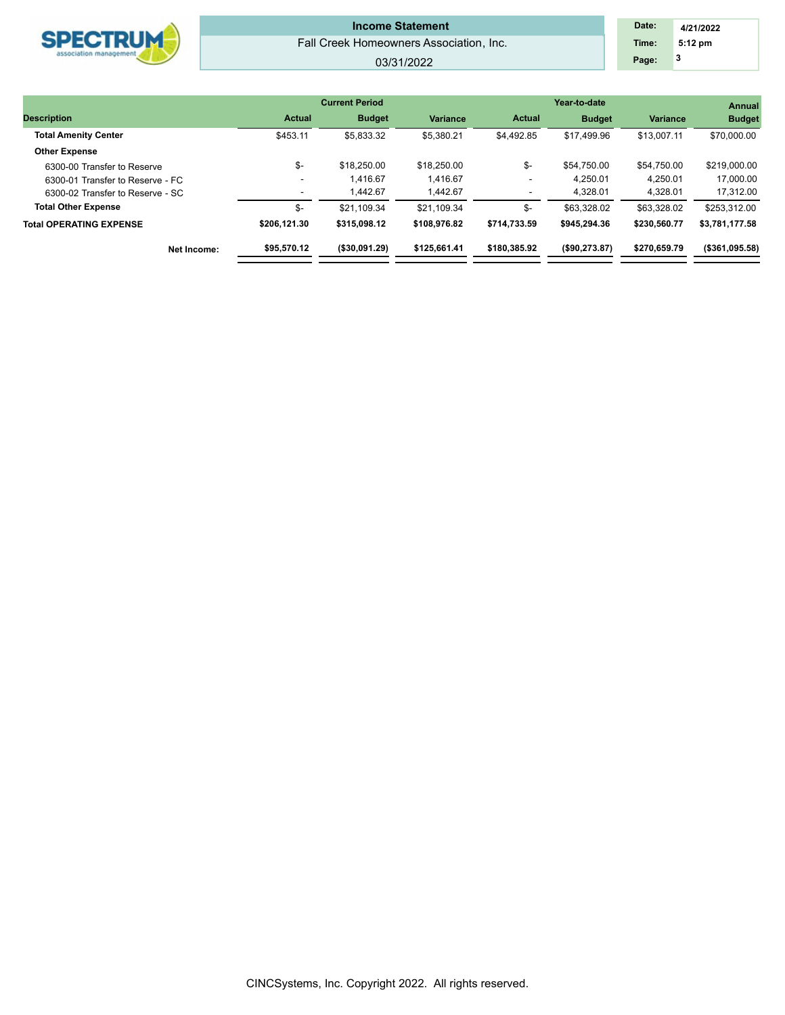| <b>SPECTDING</b><br>association management | <b>Income Statement</b><br>Fall Creek Homeowners Association, Inc.<br>03/31/2022 | Date:<br>Time:<br>Page: | 4/21/2022<br>5:12 pm |
|--------------------------------------------|----------------------------------------------------------------------------------|-------------------------|----------------------|
|                                            |                                                                                  |                         |                      |
|                                            | ________                                                                         |                         |                      |

|                          |               |                       |               | <b>Annual</b> |                 |                 |
|--------------------------|---------------|-----------------------|---------------|---------------|-----------------|-----------------|
| <b>Actual</b>            | <b>Budget</b> | <b>Variance</b>       | <b>Actual</b> | <b>Budget</b> | <b>Variance</b> | <b>Budget</b>   |
| \$453.11                 | \$5,833.32    | \$5,380.21            | \$4,492.85    | \$17,499.96   | \$13.007.11     | \$70,000.00     |
|                          |               |                       |               |               |                 |                 |
| \$-                      | \$18,250.00   | \$18,250.00           | \$-           | \$54,750.00   | \$54,750.00     | \$219,000.00    |
| $\overline{\phantom{a}}$ | 1.416.67      | 1.416.67              | ۰             | 4.250.01      | 4.250.01        | 17,000.00       |
| $\sim$                   | 1.442.67      | 1.442.67              | ۰             | 4,328.01      | 4,328.01        | 17,312.00       |
| \$-                      | \$21.109.34   | \$21,109.34           | \$-           | \$63,328.02   | \$63,328.02     | \$253,312.00    |
| \$206.121.30             | \$315,098.12  | \$108,976.82          | \$714.733.59  | \$945,294,36  | \$230,560.77    | \$3,781,177.58  |
| \$95,570.12              | (\$30,091.29) | \$125,661.41          | \$180,385,92  | (\$90,273.87) | \$270.659.79    | ( \$361,095.58) |
|                          |               | <b>Current Period</b> |               |               |                 | Year-to-date    |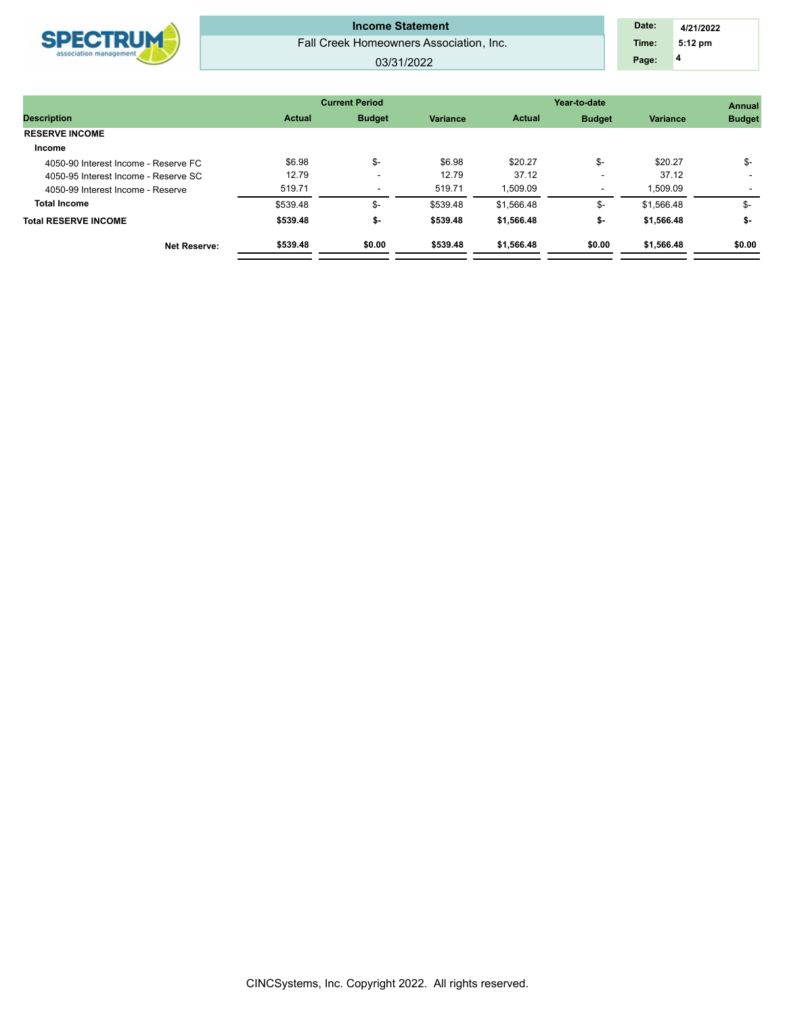

## Fall Creek Homeowners Association, Inc. **Income Statement**

#### 03/31/2022

|                                      |               | <b>Current Period</b>    |                 | Year-to-date  | <b>Annual</b> |            |               |
|--------------------------------------|---------------|--------------------------|-----------------|---------------|---------------|------------|---------------|
| <b>Description</b>                   | <b>Actual</b> | <b>Budget</b>            | <b>Variance</b> | <b>Actual</b> | <b>Budget</b> | Variance   | <b>Budget</b> |
| <b>RESERVE INCOME</b>                |               |                          |                 |               |               |            |               |
| Income                               |               |                          |                 |               |               |            |               |
| 4050-90 Interest Income - Reserve FC | \$6.98        | \$-                      | \$6.98          | \$20.27       | \$-           | \$20.27    | \$-           |
| 4050-95 Interest Income - Reserve SC | 12.79         | $\overline{\phantom{a}}$ | 12.79           | 37.12         |               | 37.12      |               |
| 4050-99 Interest Income - Reserve    | 519.71        | $\overline{\phantom{a}}$ | 519.71          | 1.509.09      |               | 1.509.09   |               |
| <b>Total Income</b>                  | \$539.48      | \$-                      | \$539.48        | \$1,566.48    | \$-           | \$1.566.48 | \$-           |
| <b>Total RESERVE INCOME</b>          | \$539.48      | \$-                      | \$539.48        | \$1,566.48    | \$-           | \$1,566.48 | \$-           |
| <b>Net Reserve:</b>                  | \$539.48      | \$0.00                   | \$539.48        | \$1,566.48    | \$0.00        | \$1,566.48 | \$0.00        |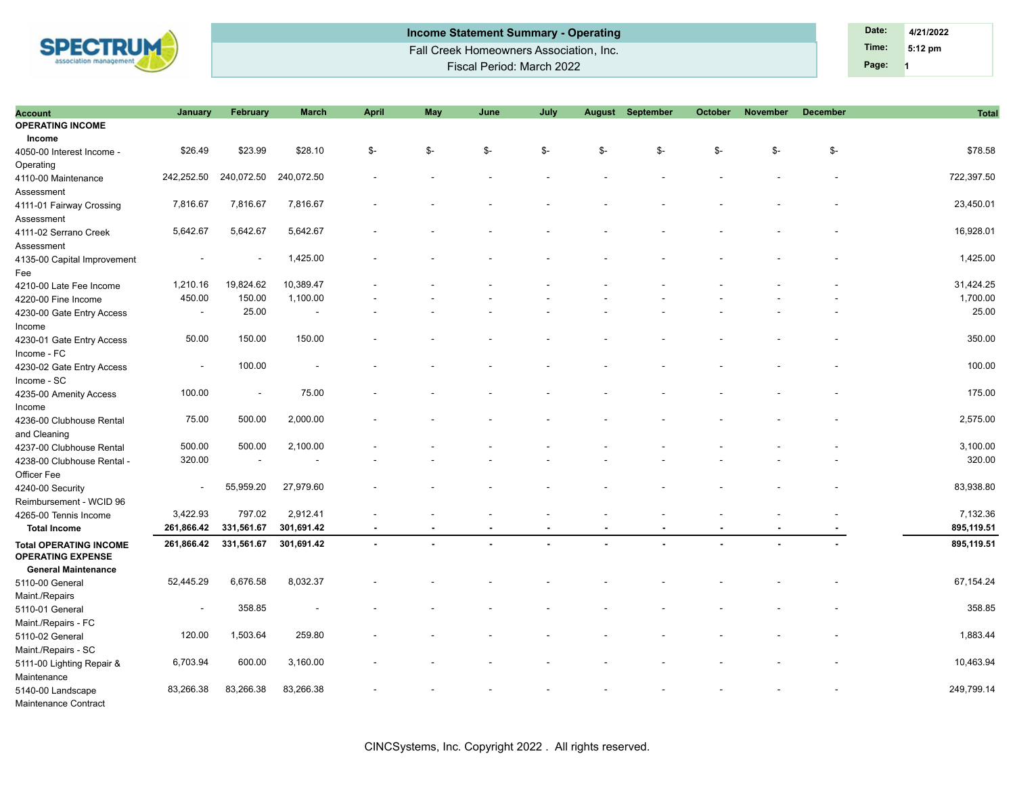

| Account                                                   | January                  | February                 | <b>March</b>             | <b>April</b>   | May            | June | July |     | <b>August September</b> | <b>October</b> | <b>November</b> | <b>December</b> | <b>Total</b> |
|-----------------------------------------------------------|--------------------------|--------------------------|--------------------------|----------------|----------------|------|------|-----|-------------------------|----------------|-----------------|-----------------|--------------|
| <b>OPERATING INCOME</b>                                   |                          |                          |                          |                |                |      |      |     |                         |                |                 |                 |              |
| Income                                                    |                          |                          |                          |                |                |      |      |     |                         |                |                 |                 |              |
| 4050-00 Interest Income -                                 | \$26.49                  | \$23.99                  | \$28.10                  | \$-            | \$-            | \$-  | \$-  | \$- | \$-                     | \$-            | \$-             | \$-             | \$78.58      |
| Operating                                                 |                          |                          |                          |                |                |      |      |     |                         |                |                 |                 |              |
| 4110-00 Maintenance                                       | 242,252.50               | 240,072.50               | 240,072.50               |                |                |      |      |     |                         |                |                 |                 | 722,397.50   |
| Assessment                                                |                          |                          |                          |                |                |      |      |     |                         |                |                 |                 |              |
| 4111-01 Fairway Crossing                                  | 7,816.67                 | 7,816.67                 | 7,816.67                 |                |                |      |      |     |                         |                |                 |                 | 23,450.01    |
| Assessment                                                |                          |                          |                          |                |                |      |      |     |                         |                |                 |                 |              |
| 4111-02 Serrano Creek                                     | 5,642.67                 | 5,642.67                 | 5,642.67                 |                |                |      |      |     |                         |                |                 |                 | 16,928.01    |
| Assessment                                                |                          |                          |                          |                |                |      |      |     |                         |                |                 |                 |              |
| 4135-00 Capital Improvement                               |                          |                          | 1,425.00                 |                |                |      |      |     |                         |                |                 |                 | 1,425.00     |
| Fee                                                       |                          |                          |                          |                |                |      |      |     |                         |                |                 |                 |              |
| 4210-00 Late Fee Income                                   | 1,210.16                 | 19,824.62                | 10,389.47                |                |                |      |      |     |                         |                |                 |                 | 31,424.25    |
| 4220-00 Fine Income                                       | 450.00                   | 150.00                   | 1,100.00                 |                |                |      |      |     |                         |                |                 |                 | 1,700.00     |
| 4230-00 Gate Entry Access                                 | $\sim$                   | 25.00                    | $\overline{\phantom{a}}$ |                |                |      |      |     |                         |                |                 |                 | 25.00        |
| Income                                                    |                          |                          |                          |                |                |      |      |     |                         |                |                 |                 |              |
| 4230-01 Gate Entry Access                                 | 50.00                    | 150.00                   | 150.00                   |                |                |      |      |     |                         |                |                 |                 | 350.00       |
| Income - FC                                               |                          |                          |                          |                |                |      |      |     |                         |                |                 |                 |              |
| 4230-02 Gate Entry Access                                 |                          | 100.00                   |                          |                |                |      |      |     |                         |                |                 |                 | 100.00       |
| Income - SC                                               |                          |                          |                          |                |                |      |      |     |                         |                |                 |                 |              |
| 4235-00 Amenity Access                                    | 100.00                   | $\overline{\phantom{a}}$ | 75.00                    |                |                |      |      |     |                         |                |                 |                 | 175.00       |
| Income                                                    |                          |                          |                          |                |                |      |      |     |                         |                |                 |                 |              |
| 4236-00 Clubhouse Rental                                  | 75.00                    | 500.00                   | 2,000.00                 |                |                |      |      |     |                         |                |                 |                 | 2,575.00     |
| and Cleaning                                              |                          |                          |                          |                |                |      |      |     |                         |                |                 |                 |              |
| 4237-00 Clubhouse Rental                                  | 500.00                   | 500.00                   | 2,100.00                 |                |                |      |      |     |                         |                |                 |                 | 3,100.00     |
| 4238-00 Clubhouse Rental -                                | 320.00                   |                          |                          |                |                |      |      |     |                         |                |                 |                 | 320.00       |
| Officer Fee                                               |                          |                          |                          |                |                |      |      |     |                         |                |                 |                 |              |
| 4240-00 Security                                          | $\sim$                   | 55,959.20                | 27,979.60                |                |                |      |      |     |                         |                |                 |                 | 83,938.80    |
| Reimbursement - WCID 96                                   |                          |                          |                          |                |                |      |      |     |                         |                |                 |                 |              |
| 4265-00 Tennis Income                                     | 3,422.93                 | 797.02                   | 2,912.41                 |                |                |      |      |     |                         |                |                 |                 | 7,132.36     |
| <b>Total Income</b>                                       | 261,866.42               | 331,561.67               | 301,691.42               | $\blacksquare$ |                |      |      |     |                         |                |                 |                 | 895,119.51   |
| <b>Total OPERATING INCOME</b><br><b>OPERATING EXPENSE</b> | 261,866.42               | 331,561.67               | 301,691.42               | $\blacksquare$ | $\blacksquare$ |      |      |     |                         |                |                 |                 | 895,119.51   |
| <b>General Maintenance</b>                                |                          |                          |                          |                |                |      |      |     |                         |                |                 |                 |              |
| 5110-00 General                                           | 52,445.29                | 6,676.58                 | 8,032.37                 |                |                |      |      |     |                         |                |                 |                 | 67,154.24    |
| Maint./Repairs                                            |                          |                          |                          |                |                |      |      |     |                         |                |                 |                 |              |
| 5110-01 General                                           | $\overline{\phantom{a}}$ | 358.85                   |                          |                |                |      |      |     |                         |                |                 |                 | 358.85       |
| Maint./Repairs - FC                                       |                          |                          |                          |                |                |      |      |     |                         |                |                 |                 |              |
| 5110-02 General                                           | 120.00                   | 1,503.64                 | 259.80                   |                |                |      |      |     |                         |                |                 |                 | 1,883.44     |
| Maint./Repairs - SC                                       |                          |                          |                          |                |                |      |      |     |                         |                |                 |                 |              |
| 5111-00 Lighting Repair &                                 | 6,703.94                 | 600.00                   | 3,160.00                 |                |                |      |      |     |                         |                |                 |                 | 10,463.94    |
| Maintenance                                               |                          |                          |                          |                |                |      |      |     |                         |                |                 |                 |              |
| 5140-00 Landscape                                         | 83,266.38                | 83,266.38                | 83,266.38                |                |                |      |      |     |                         |                |                 |                 | 249,799.14   |
| Maintenance Contract                                      |                          |                          |                          |                |                |      |      |     |                         |                |                 |                 |              |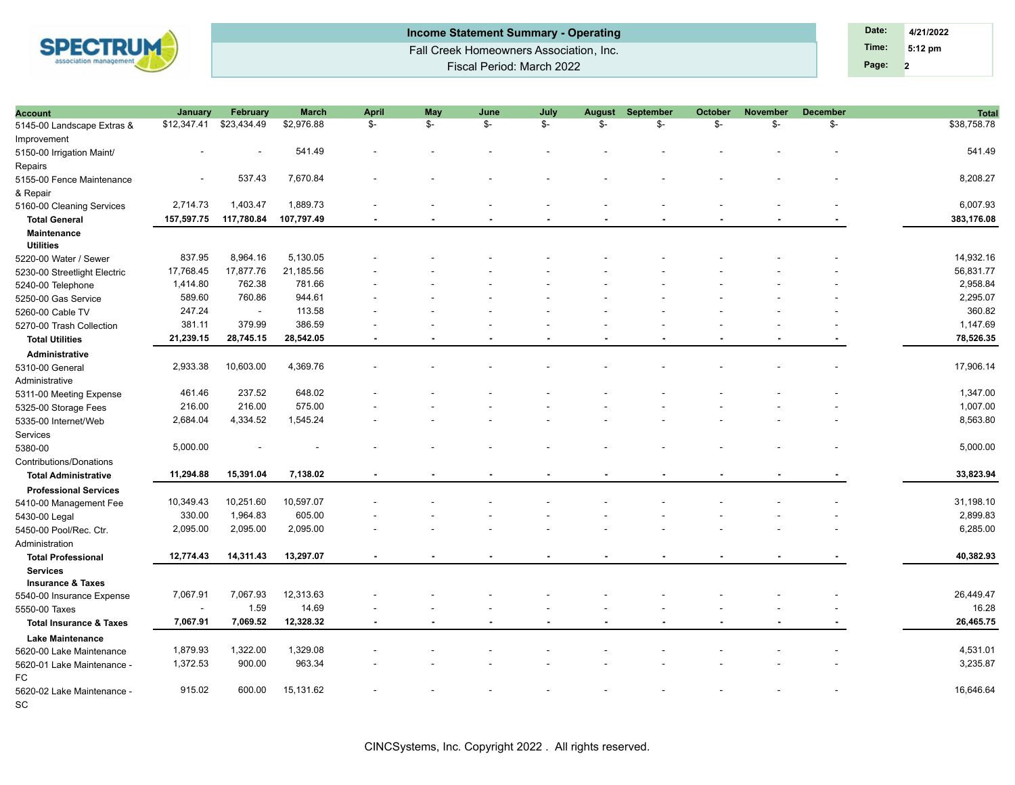

| <b>Income Statement Summary - Operating</b> | Date: | 4/21/2022         |
|---------------------------------------------|-------|-------------------|
| Fall Creek Homeowners Association, Inc.     | Time: | $5:12 \text{ pm}$ |
| Fiscal Period: March 2022                   | Page: |                   |

| <b>Account</b>                     | <b>January</b>           | February    | <b>March</b> | April          | May  | June | July                     | <b>August</b> | September | October                  | <b>November</b>          | <b>December</b> | <b>Total</b> |
|------------------------------------|--------------------------|-------------|--------------|----------------|------|------|--------------------------|---------------|-----------|--------------------------|--------------------------|-----------------|--------------|
| 5145-00 Landscape Extras &         | \$12,347.41              | \$23,434.49 | \$2,976.88   | $\mathbb{S}^-$ | $S-$ | \$-  | $S-$                     | $S-$          | \$-       | \$-                      | \$-                      | \$-             | \$38,758.78  |
| Improvement                        |                          |             |              |                |      |      |                          |               |           |                          |                          |                 |              |
| 5150-00 Irrigation Maint/          |                          |             | 541.49       |                |      |      |                          |               |           |                          |                          |                 | 541.49       |
| Repairs                            |                          |             |              |                |      |      |                          |               |           |                          |                          |                 |              |
| 5155-00 Fence Maintenance          |                          | 537.43      | 7,670.84     |                |      |      |                          |               |           |                          |                          |                 | 8,208.27     |
| & Repair                           |                          |             |              |                |      |      |                          |               |           |                          |                          |                 |              |
| 5160-00 Cleaning Services          | 2,714.73                 | 1,403.47    | 1,889.73     |                |      |      |                          |               |           |                          |                          |                 | 6,007.93     |
| <b>Total General</b>               | 157,597.75               | 117,780.84  | 107,797.49   | $\blacksquare$ |      |      |                          |               |           |                          |                          |                 | 383,176.08   |
| <b>Maintenance</b>                 |                          |             |              |                |      |      |                          |               |           |                          |                          |                 |              |
| <b>Utilities</b>                   |                          |             |              |                |      |      |                          |               |           |                          |                          |                 |              |
| 5220-00 Water / Sewer              | 837.95                   | 8,964.16    | 5,130.05     |                |      |      |                          |               |           |                          |                          |                 | 14,932.16    |
| 5230-00 Streetlight Electric       | 17,768.45                | 17,877.76   | 21,185.56    |                |      |      |                          |               |           |                          |                          |                 | 56,831.77    |
| 5240-00 Telephone                  | 1,414.80                 | 762.38      | 781.66       |                |      |      |                          |               |           |                          |                          |                 | 2,958.84     |
| 5250-00 Gas Service                | 589.60                   | 760.86      | 944.61       |                |      |      |                          |               |           |                          |                          |                 | 2,295.07     |
| 5260-00 Cable TV                   | 247.24                   | $\sim$      | 113.58       |                |      |      |                          |               |           |                          |                          |                 | 360.82       |
| 5270-00 Trash Collection           | 381.11                   | 379.99      | 386.59       |                |      |      |                          |               |           |                          |                          |                 | 1,147.69     |
| <b>Total Utilities</b>             | 21,239.15                | 28,745.15   | 28,542.05    |                |      |      |                          |               |           |                          |                          |                 | 78,526.35    |
| <b>Administrative</b>              |                          |             |              |                |      |      |                          |               |           |                          |                          |                 |              |
| 5310-00 General                    | 2,933.38                 | 10,603.00   | 4,369.76     |                |      |      |                          |               |           |                          |                          |                 | 17,906.14    |
| Administrative                     |                          |             |              |                |      |      |                          |               |           |                          |                          |                 |              |
| 5311-00 Meeting Expense            | 461.46                   | 237.52      | 648.02       |                |      |      |                          |               |           |                          |                          |                 | 1,347.00     |
|                                    | 216.00                   | 216.00      | 575.00       |                |      |      |                          |               |           |                          |                          |                 | 1,007.00     |
| 5325-00 Storage Fees               | 2,684.04                 | 4,334.52    | 1,545.24     |                |      |      |                          |               |           |                          |                          |                 | 8,563.80     |
| 5335-00 Internet/Web               |                          |             |              |                |      |      |                          |               |           |                          |                          |                 |              |
| Services                           | 5,000.00                 |             |              |                |      |      |                          |               |           |                          |                          |                 | 5,000.00     |
| 5380-00                            |                          |             |              |                |      |      |                          |               |           |                          |                          |                 |              |
| Contributions/Donations            |                          |             |              |                |      |      |                          |               |           |                          |                          |                 |              |
| <b>Total Administrative</b>        | 11,294.88                | 15,391.04   | 7,138.02     |                |      |      |                          |               |           |                          |                          |                 | 33,823.94    |
| <b>Professional Services</b>       |                          |             |              |                |      |      |                          |               |           |                          |                          |                 |              |
| 5410-00 Management Fee             | 10,349.43                | 10,251.60   | 10,597.07    |                |      |      |                          |               |           |                          |                          |                 | 31,198.10    |
| 5430-00 Legal                      | 330.00                   | 1,964.83    | 605.00       |                |      |      |                          |               |           |                          |                          |                 | 2,899.83     |
| 5450-00 Pool/Rec. Ctr.             | 2,095.00                 | 2,095.00    | 2,095.00     |                |      |      |                          |               |           |                          |                          |                 | 6,285.00     |
| Administration                     |                          |             |              |                |      |      |                          |               |           |                          |                          |                 |              |
| <b>Total Professional</b>          | 12,774.43                | 14,311.43   | 13,297.07    | $\blacksquare$ |      |      |                          |               |           |                          |                          |                 | 40,382.93    |
| <b>Services</b>                    |                          |             |              |                |      |      |                          |               |           |                          |                          |                 |              |
| <b>Insurance &amp; Taxes</b>       |                          |             |              |                |      |      |                          |               |           |                          |                          |                 |              |
| 5540-00 Insurance Expense          | 7,067.91                 | 7,067.93    | 12,313.63    |                |      |      |                          |               |           |                          |                          |                 | 26,449.47    |
| 5550-00 Taxes                      | $\overline{\phantom{a}}$ | 1.59        | 14.69        |                |      |      |                          |               |           |                          |                          |                 | 16.28        |
| <b>Total Insurance &amp; Taxes</b> | 7,067.91                 | 7,069.52    | 12,328.32    | $\blacksquare$ |      | ۰.   | $\overline{\phantom{a}}$ |               |           | $\overline{\phantom{a}}$ | $\overline{\phantom{a}}$ |                 | 26,465.75    |
| <b>Lake Maintenance</b>            |                          |             |              |                |      |      |                          |               |           |                          |                          |                 |              |
| 5620-00 Lake Maintenance           | 1,879.93                 | 1,322.00    | 1,329.08     |                |      |      |                          |               |           |                          |                          |                 | 4,531.01     |
| 5620-01 Lake Maintenance -         | 1,372.53                 | 900.00      | 963.34       |                |      |      |                          |               |           |                          |                          |                 | 3,235.87     |
| FC                                 |                          |             |              |                |      |      |                          |               |           |                          |                          |                 |              |
| 5620-02 Lake Maintenance -         | 915.02                   | 600.00      | 15,131.62    |                |      |      |                          |               |           |                          |                          |                 | 16,646.64    |
| SC                                 |                          |             |              |                |      |      |                          |               |           |                          |                          |                 |              |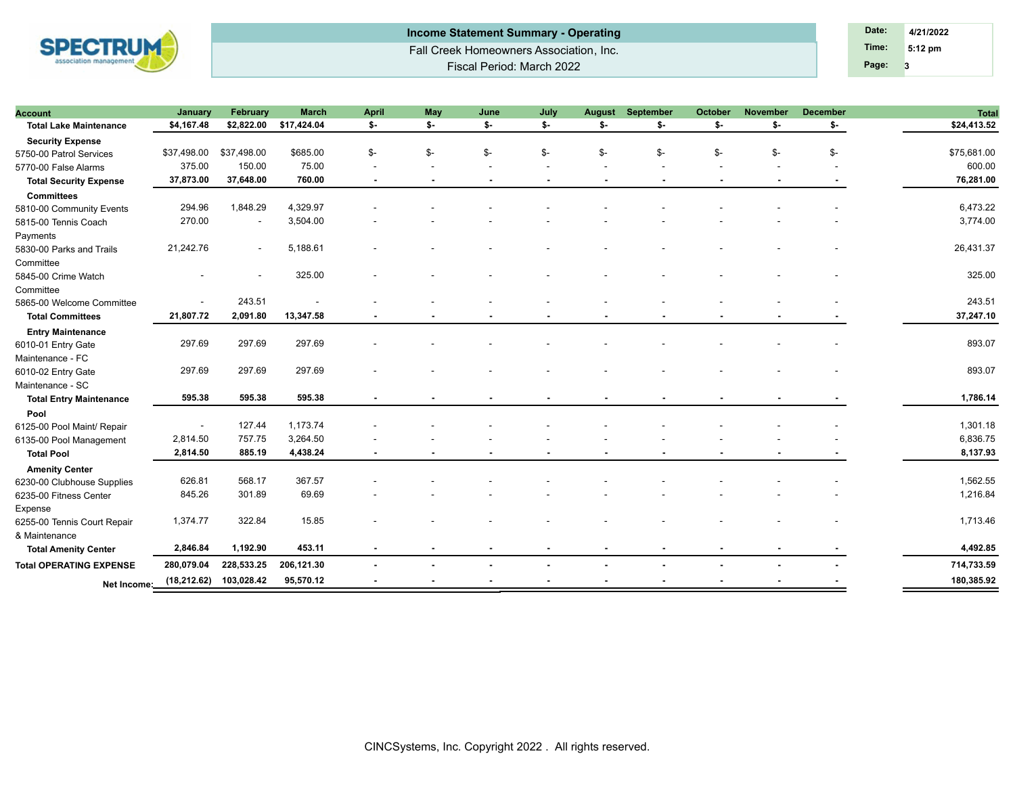

Fall Creek Homeowners Association, Inc. Fiscal Period: March 2022 **Income Statement Summary - Operating Date: Date: Date: Date: 4/21/2022** 

**3 Time: 5:12 pm Page:**

| <b>Account</b>                 | January                  | February    | <b>March</b>           | <b>April</b>   | May            | June | July                     | <b>August</b> | September | <b>October</b> | <b>November</b> | <b>December</b> | <b>Total</b> |
|--------------------------------|--------------------------|-------------|------------------------|----------------|----------------|------|--------------------------|---------------|-----------|----------------|-----------------|-----------------|--------------|
| <b>Total Lake Maintenance</b>  | \$4,167.48               |             | \$2,822.00 \$17,424.04 | \$-            | \$-            | \$-  | \$-                      | \$-           | \$-       | \$-            | \$-             | \$-             | \$24,413.52  |
| <b>Security Expense</b>        |                          |             |                        |                |                |      |                          |               |           |                |                 |                 |              |
| 5750-00 Patrol Services        | \$37,498.00              | \$37,498.00 | \$685.00               | \$-            | \$-            | \$-  | \$-                      | \$-           | \$-       | \$-            | \$-             | \$-             | \$75,681.00  |
| 5770-00 False Alarms           | 375.00                   | 150.00      | 75.00                  |                |                |      |                          |               |           |                |                 |                 | 600.00       |
| <b>Total Security Expense</b>  | 37,873.00                | 37,648.00   | 760.00                 | $\blacksquare$ | $\blacksquare$ |      | $\overline{\phantom{a}}$ |               |           |                |                 |                 | 76,281.00    |
| <b>Committees</b>              |                          |             |                        |                |                |      |                          |               |           |                |                 |                 |              |
| 5810-00 Community Events       | 294.96                   | 1,848.29    | 4,329.97               |                |                |      |                          |               |           |                |                 |                 | 6,473.22     |
| 5815-00 Tennis Coach           | 270.00                   |             | 3,504.00               |                |                |      |                          |               |           |                |                 |                 | 3,774.00     |
| Payments                       |                          |             |                        |                |                |      |                          |               |           |                |                 |                 |              |
| 5830-00 Parks and Trails       | 21,242.76                |             | 5,188.61               |                |                |      |                          |               |           |                |                 |                 | 26,431.37    |
| Committee                      |                          |             |                        |                |                |      |                          |               |           |                |                 |                 |              |
| 5845-00 Crime Watch            |                          |             | 325.00                 |                |                |      |                          |               |           |                |                 |                 | 325.00       |
| Committee                      |                          |             |                        |                |                |      |                          |               |           |                |                 |                 |              |
| 5865-00 Welcome Committee      | $\sim$                   | 243.51      |                        |                |                |      |                          |               |           |                |                 |                 | 243.51       |
| <b>Total Committees</b>        | 21,807.72                | 2,091.80    | 13,347.58              |                |                |      |                          |               |           |                |                 |                 | 37,247.10    |
| <b>Entry Maintenance</b>       |                          |             |                        |                |                |      |                          |               |           |                |                 |                 |              |
| 6010-01 Entry Gate             | 297.69                   | 297.69      | 297.69                 |                |                |      |                          |               |           |                |                 |                 | 893.07       |
| Maintenance - FC               |                          |             |                        |                |                |      |                          |               |           |                |                 |                 |              |
| 6010-02 Entry Gate             | 297.69                   | 297.69      | 297.69                 |                |                |      |                          |               |           |                |                 |                 | 893.07       |
| Maintenance - SC               |                          |             |                        |                |                |      |                          |               |           |                |                 |                 |              |
| <b>Total Entry Maintenance</b> | 595.38                   | 595.38      | 595.38                 |                |                |      |                          |               |           |                |                 |                 | 1,786.14     |
| Pool                           |                          |             |                        |                |                |      |                          |               |           |                |                 |                 |              |
| 6125-00 Pool Maint/ Repair     | $\overline{\phantom{a}}$ | 127.44      | 1,173.74               |                |                |      |                          |               |           |                |                 |                 | 1,301.18     |
| 6135-00 Pool Management        | 2,814.50                 | 757.75      | 3,264.50               |                |                |      |                          |               |           |                |                 |                 | 6,836.75     |
| <b>Total Pool</b>              | 2,814.50                 | 885.19      | 4,438.24               | $\sim$         |                |      |                          |               |           |                |                 |                 | 8,137.93     |
| <b>Amenity Center</b>          |                          |             |                        |                |                |      |                          |               |           |                |                 |                 |              |
| 6230-00 Clubhouse Supplies     | 626.81                   | 568.17      | 367.57                 |                |                |      |                          |               |           |                |                 |                 | 1,562.55     |
| 6235-00 Fitness Center         | 845.26                   | 301.89      | 69.69                  |                |                |      |                          |               |           |                |                 |                 | 1,216.84     |
| Expense                        |                          |             |                        |                |                |      |                          |               |           |                |                 |                 |              |
| 6255-00 Tennis Court Repair    | 1,374.77                 | 322.84      | 15.85                  |                |                |      |                          |               |           |                |                 |                 | 1,713.46     |
| & Maintenance                  |                          |             |                        |                |                |      |                          |               |           |                |                 |                 |              |
| <b>Total Amenity Center</b>    | 2,846.84                 | 1,192.90    | 453.11                 | $\blacksquare$ | $\blacksquare$ |      |                          |               |           |                |                 |                 | 4,492.85     |
| <b>Total OPERATING EXPENSE</b> | 280,079.04               | 228,533.25  | 206,121.30             |                |                |      |                          |               |           |                |                 |                 | 714,733.59   |
|                                |                          |             |                        |                |                |      |                          |               |           |                |                 |                 |              |
| Net Income:                    | (18, 212.62)             | 103,028.42  | 95,570.12              |                |                |      |                          |               |           |                |                 |                 | 180,385.92   |